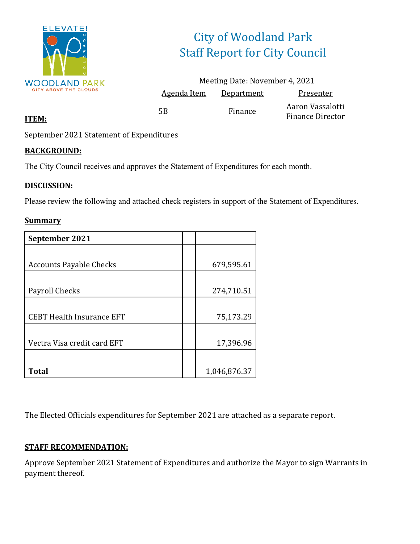

# City of Woodland Park Staff Report for City Council

|             | Meeting Date: November 4, 2021 |                                             |
|-------------|--------------------------------|---------------------------------------------|
| Agenda Item | Department                     | Presenter                                   |
| 5В          | Finance                        | Aaron Vassalotti<br><b>Finance Director</b> |

#### **ITEM:**

September 2021 Statement of Expenditures

#### **BACKGROUND:**

The City Council receives and approves the Statement of Expenditures for each month.

#### **DISCUSSION:**

Please review the following and attached check registers in support of the Statement of Expenditures.

#### **Summary**

| September 2021                   |              |
|----------------------------------|--------------|
|                                  |              |
| <b>Accounts Payable Checks</b>   | 679,595.61   |
|                                  |              |
| Payroll Checks                   | 274,710.51   |
|                                  |              |
| <b>CEBT Health Insurance EFT</b> | 75,173.29    |
|                                  |              |
| Vectra Visa credit card EFT      | 17,396.96    |
|                                  |              |
| Total                            | 1,046,876.37 |

The Elected Officials expenditures for September 2021 are attached as a separate report.

#### **STAFF RECOMMENDATION:**

Approve September 2021 Statement of Expenditures and authorize the Mayor to sign Warrants in payment thereof.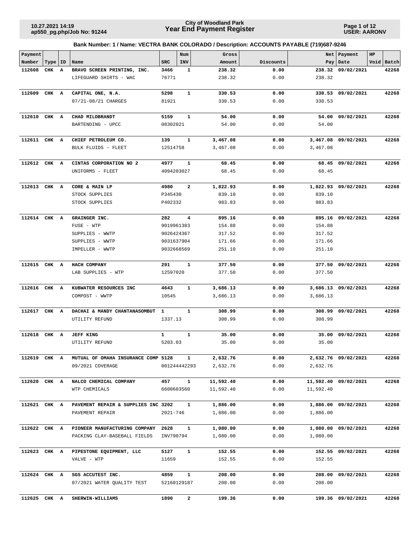**Page 1 of 12 USER: AARONV**

| Payment      |       |    |                                     |                         | Num          | Gross          |              |                | Net   Payment        | HP |            |
|--------------|-------|----|-------------------------------------|-------------------------|--------------|----------------|--------------|----------------|----------------------|----|------------|
| Number       | Type  | ID | Name                                | <b>SRC</b>              | INV          | Amount         | Discounts    |                | Pay   Date           |    | Void Batch |
| 112608       | CHK A |    | BRAVO SCREEN PRINTING, INC.         | 3466                    | $\mathbf{1}$ | 238.32         | 0.00         |                | 238.32 09/02/2021    |    | 42268      |
|              |       |    | LIFEGUARD SHIRTS - WAC              | 76771                   |              | 238.32         | 0.00         | 238.32         |                      |    |            |
| 112609       | CHK A |    | CAPITAL ONE, N.A.                   | 5298                    | $\mathbf{1}$ | 330.53         | 0.00         |                | 330.53 09/02/2021    |    | 42268      |
|              |       |    | 07/21-08/21 CHARGES                 | 81921                   |              | 330.53         | 0.00         | 330.53         |                      |    |            |
|              |       |    |                                     |                         |              |                |              |                |                      |    |            |
| 112610       | CHK A |    | CHAD MILDBRANDT                     | 5159                    | $\mathbf{1}$ | 54.00          | 0.00         | 54.00          | 09/02/2021           |    | 42268      |
|              |       |    | BARTENDING - UPCC                   | 08302021                |              | 54.00          | 0.00         | 54.00          |                      |    |            |
|              |       |    |                                     |                         |              |                |              |                |                      |    |            |
| 112611 CHK A |       |    | CHIEF PETROLEUM CO.                 | 139                     | $\mathbf{1}$ | 3,467.08       | 0.00         |                | 3,467.08 09/02/2021  |    | 42268      |
|              |       |    | BULK FLUIDS - FLEET                 | 12514758                |              | 3,467.08       | 0.00         | 3,467.08       |                      |    |            |
|              |       |    |                                     |                         |              |                |              |                |                      |    |            |
| 112612       | CHK A |    | CINTAS CORPORATION NO 2             | 4977                    | $\mathbf{1}$ | 68.45          | 0.00         |                | 68.45 09/02/2021     |    | 42268      |
|              |       |    | UNIFORMS - FLEET                    | 4094203027              |              | 68.45          | 0.00         | 68.45          |                      |    |            |
|              |       |    |                                     |                         |              |                |              |                |                      |    |            |
| 112613       | CHK   | A  | CORE & MAIN LP                      | 4980                    | $\mathbf{2}$ | 1,822.93       | 0.00         |                | 1,822.93 09/02/2021  |    | 42268      |
|              |       |    | STOCK SUPPLIES                      | P345430                 |              | 839.10         | 0.00         | 839.10         |                      |    |            |
|              |       |    | STOCK SUPPLIES                      | P402332                 |              | 983.83         | 0.00         | 983.83         |                      |    |            |
|              |       |    |                                     |                         |              |                |              |                |                      |    |            |
| 112614 CHK A |       |    | GRAINGER INC.                       | 282<br>9019961383       | 4            | 895.16         | 0.00         |                | 895.16 09/02/2021    |    | 42268      |
|              |       |    | FUSE - WTP                          |                         |              | 154.88         | 0.00         | 154.88         |                      |    |            |
|              |       |    | SUPPLIES - WWTP                     | 9026424367              |              | 317.52         | 0.00         | 317.52         |                      |    |            |
|              |       |    | SUPPLIES - WWTP                     | 9031637904              |              | 171.66         | 0.00         | 171.66         |                      |    |            |
|              |       |    | IMPELLER - WWTP                     | 9032668569              |              | 251.10         | 0.00         | 251.10         |                      |    |            |
| 112615 CHK A |       |    | HACH COMPANY                        | 291                     | $\mathbf{1}$ | 377.50         | 0.00         | 377.50         | 09/02/2021           |    | 42268      |
|              |       |    | LAB SUPPLIES - WTP                  | 12597020                |              | 377.50         | 0.00         | 377.50         |                      |    |            |
|              |       |    |                                     |                         |              |                |              |                |                      |    |            |
| 112616       | CHK A |    | KUBWATER RESOURCES INC              | 4643                    | 1            | 3,686.13       | 0.00         |                | 3,686.13 09/02/2021  |    | 42268      |
|              |       |    | COMPOST - WWTP                      | 10545                   |              | 3,686.13       | 0.00         | 3,686.13       |                      |    |            |
|              |       |    |                                     |                         |              |                |              |                |                      |    |            |
| 112617       | CHK   | A  | DACHAI & MANDY CHANTANASOMBUT       | 1                       | 1            | 308.99         | 0.00         | 308.99         | 09/02/2021           |    | 42268      |
|              |       |    | UTILITY REFUND                      | 1337.13                 |              | 308.99         | 0.00         | 308.99         |                      |    |            |
|              |       |    |                                     |                         |              |                |              |                |                      |    |            |
| 112618       | CHK A |    | <b>JEFF KING</b>                    | $\mathbf{1}$<br>5203.03 | $\mathbf{1}$ | 35.00<br>35.00 | 0.00<br>0.00 | 35.00<br>35.00 | 09/02/2021           |    | 42268      |
|              |       |    | UTILITY REFUND                      |                         |              |                |              |                |                      |    |            |
| 112619 CHK A |       |    | MUTUAL OF OMAHA INSURANCE COMP 5128 |                         | $\mathbf{1}$ | 2,632.76       | 0.00         |                | 2,632.76 09/02/2021  |    | 42268      |
|              |       |    | 09/2021 COVERAGE                    |                         | 001244442293 | 2,632.76       | 0.00         | 2,632.76       |                      |    |            |
|              |       |    |                                     |                         |              |                |              |                |                      |    |            |
| 112620 CHK A |       |    | NALCO CHEMICAL COMPANY              | 457                     | 1            | 11,592.40      | 0.00         |                | 11,592.40 09/02/2021 |    | 42268      |
|              |       |    | WTP CHEMICALS                       | 6600603560              |              | 11,592.40      | 0.00         | 11,592.40      |                      |    |            |
|              |       |    |                                     |                         |              |                |              |                |                      |    |            |
| 112621 CHK A |       |    | PAVEMENT REPAIR & SUPPLIES INC 3202 |                         | $\mathbf{1}$ | 1,886.00       | 0.00         |                | 1,886.00 09/02/2021  |    | 42268      |
|              |       |    | PAVEMENT REPAIR                     | 2021-746                |              | 1,886.00       | 0.00         | 1,886.00       |                      |    |            |
|              |       |    |                                     |                         |              |                |              |                |                      |    |            |
| 112622 CHK A |       |    | PIONEER MANUFACTURING COMPANY       | 2628                    | $\mathbf{1}$ | 1,080.00       | 0.00         |                | 1,080.00 09/02/2021  |    | 42268      |
|              |       |    | PACKING CLAY-BASEBALL FIELDS        | INV790794               |              | 1,080.00       | 0.00         | 1,080.00       |                      |    |            |
|              |       |    |                                     |                         | $\mathbf{1}$ |                |              |                |                      |    |            |
| 112623 CHK A |       |    | PIPESTONE EQUIPMENT, LLC            | 5127                    |              | 152.55         | 0.00         |                | 152.55 09/02/2021    |    | 42268      |
|              |       |    | VALVE - WTP                         | 11659                   |              | 152.55         | 0.00         | 152.55         |                      |    |            |
| 112624 CHK A |       |    | SGS ACCUTEST INC.                   | 4859                    | $\mathbf{1}$ | 208.00         | 0.00         |                | 208.00 09/02/2021    |    | 42268      |
|              |       |    | 07/2021 WATER QUALITY TEST          |                         | 52160129187  | 208.00         | 0.00         | 208.00         |                      |    |            |
|              |       |    |                                     |                         |              |                |              |                |                      |    |            |
| 112625 CHK A |       |    | SHERWIN-WILLIAMS                    | 1890                    | 2            | 199.36         | 0.00         |                | 199.36 09/02/2021    |    | 42268      |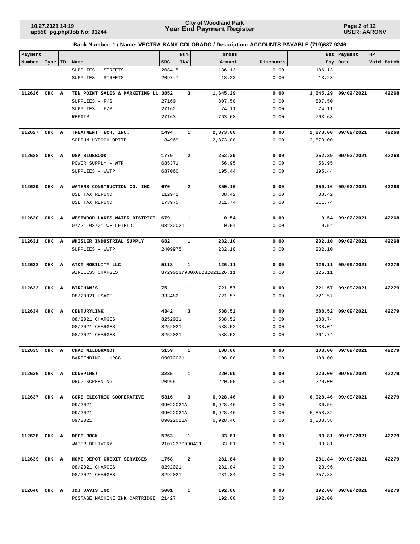**Page 2 of 12 USER: AARONV**

| Payment      |           |   |                                     |                | Num            | Gross                      |           |          | Net   Payment       | HP |            |
|--------------|-----------|---|-------------------------------------|----------------|----------------|----------------------------|-----------|----------|---------------------|----|------------|
| Number       | Type   ID |   | Name                                | <b>SRC</b>     | INV            | Amount                     | Discounts |          | Pay Date            |    | Void Batch |
|              |           |   | SUPPLIES - STREETS                  | $2084 - 5$     |                | 186.13                     | 0.00      | 186.13   |                     |    |            |
|              |           |   | SUPPLIES - STREETS                  | $2097 - 7$     |                | 13.23                      | 0.00      | 13.23    |                     |    |            |
| 112626       | CHK       | A | TEN POINT SALES & MARKETING LL 3852 |                | 3              | 1,645.29                   | 0.00      | 1,645.29 | 09/02/2021          |    | 42268      |
|              |           |   | SUPPLIES - F/S                      | 27160          |                | 807.50                     | 0.00      | 807.50   |                     |    |            |
|              |           |   | SUPPLIES $- F/S$                    | 27162          |                | 74.11                      | 0.00      | 74.11    |                     |    |            |
|              |           |   | REPAIR                              | 27163          |                | 763.68                     | 0.00      | 763.68   |                     |    |            |
| 112627       | CHK A     |   | TREATMENT TECH, INC.                | 1494           | 1              | 2,873.00                   | 0.00      |          | 2,873.00 09/02/2021 |    | 42268      |
|              |           |   | SODIUM HYPOCHLORITE                 | 184969         |                | 2,873.00                   | 0.00      | 2,873.00 |                     |    |            |
| 112628       | CHK A     |   | <b>USA BLUEBOOK</b>                 | 1779           | 2              | 252.39                     | 0.00      |          | 252.39 09/02/2021   |    | 42268      |
|              |           |   | POWER SUPPLY - WTP                  | 685371         |                | 56.95                      | 0.00      | 56.95    |                     |    |            |
|              |           |   | SUPPLIES - WWTP                     | 687060         |                | 195.44                     | 0.00      | 195.44   |                     |    |            |
| 112629       | CHK A     |   | WATERS CONSTRUCTION CO. INC         | 670            | $\overline{a}$ | 350.16                     | 0.00      |          | 350.16 09/02/2021   |    | 42268      |
|              |           |   | USE TAX REFUND                      | L12942         |                | 38.42                      | 0.00      | 38.42    |                     |    |            |
|              |           |   | USE TAX REFUND                      | L73975         |                | 311.74                     | 0.00      | 311.74   |                     |    |            |
| 112630       | CHK A     |   | WESTWOOD LAKES WATER DISTRICT       | 679            | $\mathbf{1}$   | 0.54                       | 0.00      |          | $0.54$ 09/02/2021   |    | 42268      |
|              |           |   | 07/21-08/21 WELLFIELD               | 08232021       |                | 0.54                       | 0.00      | 0.54     |                     |    |            |
| 112631       | CHK A     |   | WHISLER INDUSTRIAL SUPPLY           | 682            | $\mathbf{1}$   | 232.10                     | 0.00      | 232.10   | 09/02/2021          |    | 42268      |
|              |           |   | SUPPLIES - WWTP                     | 2409975        |                | 232.10                     | 0.00      | 232.10   |                     |    |            |
| 112632       | CHK A     |   | AT&T MOBILITY LLC                   | 5118           | $\mathbf{1}$   | 126.11                     | 0.00      | 126.11   | 09/09/2021          |    | 42279      |
|              |           |   | WIRELESS CHARGES                    |                |                | 87290137930X08282021126.11 | 0.00      | 126.11   |                     |    |            |
| 112633       | CHK A     |   | <b>BIRCHAM'S</b>                    | 75             | $\mathbf{1}$   | 721.57                     | 0.00      |          | 721.57 09/09/2021   |    | 42279      |
|              |           |   | 08/20021 USAGE                      | 333482         |                | 721.57                     | 0.00      | 721.57   |                     |    |            |
| 112634       | CHK       | A | CENTURYLINK                         | 4342           | 3              | 588.52                     | 0.00      |          | 588.52 09/09/2021   |    | 42279      |
|              |           |   | 08/2021 CHARGES                     | 8252021        |                | 588.52                     | 0.00      | 188.74   |                     |    |            |
|              |           |   | 08/2021 CHARGES                     | 8252021        |                | 588.52                     | 0.00      | 138.04   |                     |    |            |
|              |           |   | 08/2021 CHARGES                     | 8252021        |                | 588.52                     | 0.00      | 261.74   |                     |    |            |
| 112635 CHK A |           |   | CHAD MILDBRANDT                     | 5159           | $\mathbf{1}$   | 108.00                     | 0.00      |          | 108.00 09/09/2021   |    | 42279      |
|              |           |   | BARTENDING - UPCC                   | 09072021       |                | 108.00                     | 0.00      | 108.00   |                     |    |            |
| 112636 CHK A |           |   | CONSPIRE!                           | 3235           | $\mathbf{1}$   | 220.00                     | 0.00      |          | 220.00 09/09/2021   |    | 42279      |
|              |           |   | DRUG SCREENING                      | 20965          |                | 220.00                     | 0.00      | 220.00   |                     |    |            |
| 112637 CHK A |           |   | CORE ELECTRIC COOPERATIVE           | 5316           | $\mathbf{3}$   | 6,928.46                   | 0.00      |          | 6,928.46 09/09/2021 |    | 42279      |
|              |           |   | 09/2021                             | 09022021A      |                | 6,928.46                   | 0.00      | 36.56    |                     |    |            |
|              |           |   | 09/2021                             | 09022021A      |                | 6,928.46                   | 0.00      | 5,858.32 |                     |    |            |
|              |           |   | 09/2021                             | 09022021A      |                | 6,928.46                   | 0.00      | 1,033.58 |                     |    |            |
| 112638 CHK A |           |   | DEEP ROCK                           | 5263           | $\mathbf{1}$   | 83.81                      | 0.00      |          | 83.81 09/09/2021    |    | 42279      |
|              |           |   | WATER DELIVERY                      | 21072370090421 |                | 83.81                      | 0.00      | 83.81    |                     |    |            |
| 112639 CHK A |           |   | HOME DEPOT CREDIT SERVICES          | 1758           | $\overline{a}$ | 281.84                     | 0.00      |          | 281.84 09/09/2021   |    | 42279      |
|              |           |   | 08/2021 CHARGES                     | 8292021        |                | 281.84                     | 0.00      | 23.96    |                     |    |            |
|              |           |   | 08/2021 CHARGES                     | 8292021        |                | 281.84                     | 0.00      | 257.88   |                     |    |            |
| 112640 CHK A |           |   | J&J DAVIS INC                       | 5001           | $\mathbf{1}$   | 192.00                     | 0.00      |          | 192.00 09/09/2021   |    | 42279      |
|              |           |   | POSTAGE MACHINE INK CARTRIDGE 21427 |                |                | 192.00                     | 0.00      | 192.00   |                     |    |            |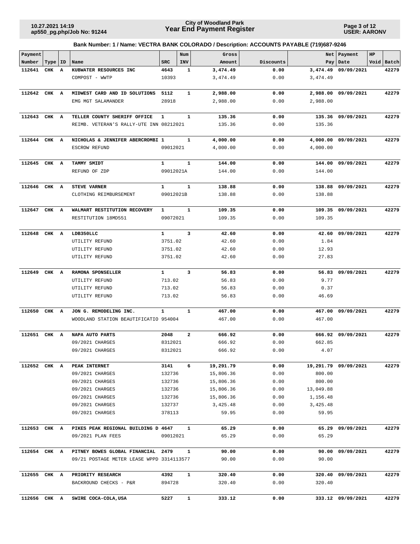**Page 3 of 12 USER: AARONV**

| Payment      |           |   |                                           |              | Num                     | Gross     |           | Net       | Payment              | HP |            |
|--------------|-----------|---|-------------------------------------------|--------------|-------------------------|-----------|-----------|-----------|----------------------|----|------------|
| Number       | Type   ID |   | Name                                      | <b>SRC</b>   | <b>INV</b>              | Amount    | Discounts | Pay       | Date                 |    | Void Batch |
| 112641       | CHK       | A | KUBWATER RESOURCES INC                    | 4643         | 1                       | 3,474.49  | 0.00      | 3,474.49  | 09/09/2021           |    | 42279      |
|              |           |   | COMPOST - WWTP                            | 10393        |                         | 3,474.49  | 0.00      | 3,474.49  |                      |    |            |
| 112642       | CHK A     |   | MIDWEST CARD AND ID SOLUTIONS             | 5112         | $\mathbf{1}$            | 2,988.00  | 0.00      |           | 2,988.00 09/09/2021  |    | 42279      |
|              |           |   | EMG MGT SALAMANDER                        | 28918        |                         | 2,988.00  | 0.00      | 2,988.00  |                      |    |            |
| 112643       | CHK A     |   | TELLER COUNTY SHERIFF OFFICE              | $\mathbf{1}$ | $\mathbf{1}$            | 135.36    | 0.00      | 135.36    | 09/09/2021           |    | 42279      |
|              |           |   | REIMB. VETERAN'S RALLY-UTE INN 08212021   |              |                         | 135.36    | 0.00      | 135.36    |                      |    |            |
| 112644 CHK A |           |   | NICHOLAS & JENNIFER ABERCROMBI 1          |              | 1                       | 4,000.00  | 0.00      | 4,000.00  | 09/09/2021           |    | 42279      |
|              |           |   | ESCROW REFUND                             | 09012021     |                         | 4,000.00  | 0.00      | 4,000.00  |                      |    |            |
| 112645       | CHK A     |   | TAMMY SMIDT                               | $\mathbf{1}$ | $\mathbf{1}$            | 144.00    | 0.00      | 144.00    | 09/09/2021           |    | 42279      |
|              |           |   | REFUND OF ZDP                             | 09012021A    |                         | 144.00    | 0.00      | 144.00    |                      |    |            |
| 112646       | CHK       | A | <b>STEVE VARNER</b>                       | $\mathbf{1}$ | $\mathbf{1}$            | 138.88    | 0.00      |           | 138.88 09/09/2021    |    | 42279      |
|              |           |   | CLOTHING REIMBURSEMENT                    | 09012021B    |                         | 138.88    | 0.00      | 138.88    |                      |    |            |
| 112647       | CHK A     |   | WALMART RESTITUTION RECOVERY              | 1            | 1                       | 109.35    | 0.00      |           | 109.35 09/09/2021    |    | 42279      |
|              |           |   | RESTITUTION 18MD551                       | 09072021     |                         | 109.35    | 0.00      | 109.35    |                      |    |            |
| 112648       | CHK A     |   | LDB350LLC                                 | $\mathbf{1}$ | $\overline{\mathbf{3}}$ | 42.60     | 0.00      |           | 42.60 09/09/2021     |    | 42279      |
|              |           |   | UTILITY REFUND                            | 3751.02      |                         | 42.60     | 0.00      | 1.84      |                      |    |            |
|              |           |   | UTILITY REFUND                            | 3751.02      |                         | 42.60     | 0.00      | 12.93     |                      |    |            |
|              |           |   | UTILITY REFUND                            | 3751.02      |                         | 42.60     | 0.00      | 27.83     |                      |    |            |
| 112649       | CHK A     |   | RAMONA SPONSELLER                         | $\mathbf{1}$ | 3                       | 56.83     | 0.00      |           | 56.83 09/09/2021     |    | 42279      |
|              |           |   | UTILITY REFUND                            | 713.02       |                         | 56.83     | 0.00      | 9.77      |                      |    |            |
|              |           |   | UTILITY REFUND                            | 713.02       |                         | 56.83     | 0.00      | 0.37      |                      |    |            |
|              |           |   | UTILITY REFUND                            | 713.02       |                         | 56.83     | 0.00      | 46.69     |                      |    |            |
| 112650       | CHK A     |   | JON G. REMODELING INC.                    | $\mathbf{1}$ | $\mathbf{1}$            | 467.00    | 0.00      | 467.00    | 09/09/2021           |    | 42279      |
|              |           |   | WOODLAND STATION BEAUTIFICATIO 954004     |              |                         | 467.00    | 0.00      | 467.00    |                      |    |            |
| 112651       | CHK       | A | NAPA AUTO PARTS                           | 2048         | $\overline{\mathbf{2}}$ | 666.92    | 0.00      |           | 666.92 09/09/2021    |    | 42279      |
|              |           |   | 09/2021 CHARGES                           | 8312021      |                         | 666.92    | 0.00      | 662.85    |                      |    |            |
|              |           |   | 09/2021 CHARGES                           | 8312021      |                         | 666.92    | 0.00      | 4.07      |                      |    |            |
| 112652 CHK A |           |   | PEAK INTERNET                             | 3141         | 6                       | 19,291.79 | 0.00      |           | 19,291.79 09/09/2021 |    | 42279      |
|              |           |   | 09/2021 CHARGES                           | 132736       |                         | 15,806.36 | 0.00      | 800.00    |                      |    |            |
|              |           |   | 09/2021 CHARGES                           | 132736       |                         | 15,806.36 | 0.00      | 800.00    |                      |    |            |
|              |           |   | 09/2021 CHARGES                           | 132736       |                         | 15,806.36 | 0.00      | 13,049.88 |                      |    |            |
|              |           |   | 09/2021 CHARGES                           | 132736       |                         | 15,806.36 | 0.00      | 1,156.48  |                      |    |            |
|              |           |   | 09/2021 CHARGES                           | 132737       |                         | 3,425.48  | 0.00      | 3,425.48  |                      |    |            |
|              |           |   | 09/2021 CHARGES                           | 378113       |                         | 59.95     | 0.00      | 59.95     |                      |    |            |
| 112653 CHK A |           |   | PIKES PEAK REGIONAL BUILDING D 4647       |              | 1                       | 65.29     | 0.00      |           | 65.29 09/09/2021     |    | 42279      |
|              |           |   | 09/2021 PLAN FEES                         | 09012021     |                         | 65.29     | 0.00      | 65.29     |                      |    |            |
| 112654 CHK A |           |   | PITNEY BOWES GLOBAL FINANCIAL             | 2479         | 1                       | 90.00     | 0.00      |           | 90.00 09/09/2021     |    | 42279      |
|              |           |   | 09/21 POSTAGE METER LEASE WPPD 3314113577 |              |                         | 90.00     | 0.00      | 90.00     |                      |    |            |
| 112655 CHK A |           |   | PRIORITY RESEARCH                         | 4392         | $\mathbf{1}$            | 320.40    | 0.00      |           | 320.40 09/09/2021    |    | 42279      |
|              |           |   | BACKROUND CHECKS - P&R                    | 894728       |                         | 320.40    | 0.00      | 320.40    |                      |    |            |
| 112656 CHK A |           |   | SWIRE COCA-COLA, USA                      | 5227         | $\mathbf{1}$            | 333.12    | 0.00      |           | 333.12 09/09/2021    |    | 42279      |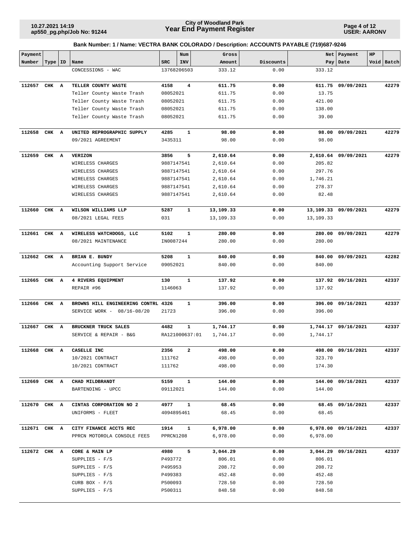**Page 4 of 12 USER: AARONV**

| Payment      |           |                                     |            | Num                     | Gross     |           |           | Net   Payment        | HP |            |
|--------------|-----------|-------------------------------------|------------|-------------------------|-----------|-----------|-----------|----------------------|----|------------|
| Number       | Type   ID | Name                                | <b>SRC</b> | INV                     | Amount    | Discounts |           | Pay   Date           |    | Void Batch |
|              |           | CONCESSIONS - WAC                   |            | 13768206503             | 333.12    | 0.00      | 333.12    |                      |    |            |
| 112657       | CHK A     | TELLER COUNTY WASTE                 | 4158       | 4                       | 611.75    | 0.00      | 611.75    | 09/09/2021           |    | 42279      |
|              |           | Teller County Waste Trash           | 08052021   |                         | 611.75    | 0.00      | 13.75     |                      |    |            |
|              |           | Teller County Waste Trash           | 08052021   |                         | 611.75    | 0.00      | 421.00    |                      |    |            |
|              |           | Teller County Waste Trash           | 08052021   |                         | 611.75    | 0.00      | 138.00    |                      |    |            |
|              |           | Teller County Waste Trash           | 08052021   |                         | 611.75    | 0.00      | 39.00     |                      |    |            |
|              |           |                                     |            |                         |           |           |           |                      |    |            |
| 112658       | CHK A     | UNITED REPROGRAPHIC SUPPLY          | 4285       | 1                       | 98.00     | 0.00      | 98.00     | 09/09/2021           |    | 42279      |
|              |           | 09/2021 AGREEMENT                   | 3435311    |                         | 98.00     | 0.00      | 98.00     |                      |    |            |
| 112659       | CHK A     | VERIZON                             | 3856       | 5                       | 2,610.64  | 0.00      |           | 2,610.64 09/09/2021  |    | 42279      |
|              |           | WIRELESS CHARGES                    | 9887147541 |                         | 2,610.64  | 0.00      | 205.82    |                      |    |            |
|              |           | WIRELESS CHARGES                    | 9887147541 |                         | 2,610.64  | 0.00      | 297.76    |                      |    |            |
|              |           | WIRELESS CHARGES                    | 9887147541 |                         | 2,610.64  | 0.00      | 1,746.21  |                      |    |            |
|              |           | WIRELESS CHARGES                    | 9887147541 |                         | 2,610.64  | 0.00      | 278.37    |                      |    |            |
|              |           | WIRELESS CHARGES                    | 9887147541 |                         | 2,610.64  | 0.00      | 82.48     |                      |    |            |
| 112660 CHK A |           | WILSON WILLIAMS LLP                 | 5287       | 1                       | 13,109.33 | 0.00      |           | 13,109.33 09/09/2021 |    | 42279      |
|              |           | 08/2021 LEGAL FEES                  | 031        |                         | 13,109.33 | 0.00      | 13,109.33 |                      |    |            |
| 112661       | CHK A     | WIRELESS WATCHDOGS, LLC             | 5102       | $\mathbf 1$             | 280.00    | 0.00      | 280.00    | 09/09/2021           |    | 42279      |
|              |           | 08/2021 MAINTENANCE                 | IN0087244  |                         | 280.00    | 0.00      | 280.00    |                      |    |            |
|              |           |                                     |            |                         |           |           |           |                      |    | 42282      |
| 112662       | CHK A     | BRIAN E. BUNDY                      | 5208       | 1                       | 840.00    | 0.00      | 840.00    | 09/09/2021           |    |            |
|              |           | Accounting Support Service          | 09052021   |                         | 840.00    | 0.00      | 840.00    |                      |    |            |
| 112665       | CHK A     | 4 RIVERS EQUIPMENT                  | 130        | $\mathbf 1$             | 137.92    | 0.00      |           | 137.92 09/16/2021    |    | 42337      |
|              |           | REPAIR #96                          | 1146063    |                         | 137.92    | 0.00      | 137.92    |                      |    |            |
| 112666       | CHK A     | BROWNS HILL ENGINEERING CONTRL 4326 |            | $\mathbf 1$             | 396.00    | 0.00      | 396.00    | 09/16/2021           |    | 42337      |
|              |           | SERVICE WORK - 08/16-08/20          | 21723      |                         | 396.00    | 0.00      | 396.00    |                      |    |            |
| 112667       | CHK A     | BRUCKNER TRUCK SALES                | 4482       | 1                       | 1,744.17  | 0.00      |           | 1,744.17 09/16/2021  |    | 42337      |
|              |           | SERVICE & REPAIR - B&G              |            | RA121000637:01          | 1,744.17  | 0.00      | 1,744.17  |                      |    |            |
|              |           |                                     |            |                         |           |           |           |                      |    |            |
| 112668 CHK A |           | CASELLE INC                         | 2356       | $\overline{\mathbf{2}}$ | 498.00    | 0.00      |           | 498.00 09/16/2021    |    | 42337      |
|              |           | 10/2021 CONTRACT                    | 111762     |                         | 498.00    | 0.00      | 323.70    |                      |    |            |
|              |           | 10/2021 CONTRACT                    | 111762     |                         | 498.00    | 0.00      | 174.30    |                      |    |            |
| 112669 CHK A |           | CHAD MILDBRANDT                     | 5159       | $\mathbf{1}$            | 144.00    | 0.00      |           | 144.00 09/16/2021    |    | 42337      |
|              |           | BARTENDING - UPCC                   | 09112021   |                         | 144.00    | 0.00      | 144.00    |                      |    |            |
| 112670 CHK A |           | CINTAS CORPORATION NO 2             | 4977       | $\mathbf{1}$            | 68.45     | 0.00      |           | 68.45 09/16/2021     |    | 42337      |
|              |           | UNIFORMS - FLEET                    |            | 4094895461              | 68.45     | 0.00      | 68.45     |                      |    |            |
| 112671 CHK A |           | CITY FINANCE ACCTS REC              | 1914       | $\mathbf{1}$            | 6,978.00  | 0.00      |           | 6,978.00 09/16/2021  |    | 42337      |
|              |           | PPRCN MOTOROLA CONSOLE FEES         | PPRCN1208  |                         | 6,978.00  | 0.00      | 6,978.00  |                      |    |            |
| 112672 CHK A |           | CORE & MAIN LP                      | 4980       | 5                       | 3,044.29  | 0.00      |           | 3,044.29 09/16/2021  |    | 42337      |
|              |           | SUPPLIES - $F/S$                    | P493772    |                         | 806.01    | 0.00      | 806.01    |                      |    |            |
|              |           | $SUPPLIES - F/S$                    | P495953    |                         | 208.72    | 0.00      | 208.72    |                      |    |            |
|              |           | SUPPLIES $- F/S$                    | P499383    |                         | 452.48    | 0.00      | 452.48    |                      |    |            |
|              |           | CURB BOX $-$ F/S                    | P500093    |                         | 728.50    | 0.00      | 728.50    |                      |    |            |
|              |           | SUPPLIES $- F/S$                    | P500311    |                         | 848.58    | 0.00      | 848.58    |                      |    |            |
|              |           |                                     |            |                         |           |           |           |                      |    |            |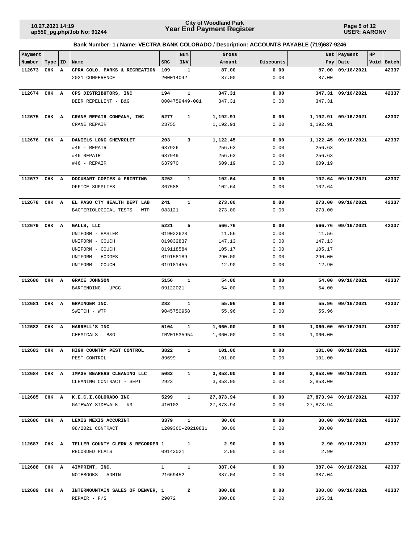**Page 5 of 12 USER: AARONV**

| Payment      |           |   |                                               |                        | Num              | Gross            |              |                  | Net   Payment        | HP |            |
|--------------|-----------|---|-----------------------------------------------|------------------------|------------------|------------------|--------------|------------------|----------------------|----|------------|
| Number       | Type   ID |   | Name                                          | <b>SRC</b>             | INV              | Amount           | Discounts    |                  | Pay   Date           |    | Void Batch |
| 112673       | CHK       | A | CPRA COLO. PARKS & RECREATION                 | 109                    | 1                | 87.00            | 0.00         | 87.00            | 09/16/2021           |    | 42337      |
|              |           |   | 2021 CONFERENCE                               | 200014042              |                  | 87.00            | 0.00         | 87.00            |                      |    |            |
|              |           |   |                                               |                        |                  |                  |              |                  |                      |    |            |
| 112674 CHK A |           |   | CPS DISTRIBUTORS, INC                         | 194                    | $\mathbf 1$      | 347.31           | 0.00         | 347.31           | 09/16/2021           |    | 42337      |
|              |           |   | DEER REPELLENT - B&G                          |                        | 0004759449-001   | 347.31           | 0.00         | 347.31           |                      |    |            |
|              |           |   |                                               |                        |                  |                  |              |                  |                      |    |            |
| 112675 CHK A |           |   | CRANE REPAIR COMPANY, INC                     | 5277                   | $\mathbf{1}$     | 1,192.91         | 0.00         |                  | 1,192.91 09/16/2021  |    | 42337      |
|              |           |   | CRANE REPAIR                                  | 23755                  |                  | 1,192.91         | 0.00         | 1,192.91         |                      |    |            |
|              |           |   |                                               |                        |                  |                  |              |                  |                      |    |            |
| 112676 CHK A |           |   | DANIELS LONG CHEVROLET                        | 203                    | 3                | 1,122.45         | 0.00         |                  | 1,122.45 09/16/2021  |    | 42337      |
|              |           |   | $#46$ - REPAIR                                | 637926                 |                  | 256.63           | 0.00         | 256.63           |                      |    |            |
|              |           |   | #46 REPAIR                                    | 637949                 |                  | 256.63           | 0.00         | 256.63           |                      |    |            |
|              |           |   | #46 - REPAIR                                  | 637970                 |                  | 609.19           | 0.00         | 609.19           |                      |    |            |
|              |           |   |                                               |                        |                  |                  |              |                  |                      |    |            |
| 112677       | CHK A     |   | DOCUMART COPIES & PRINTING                    | 3252                   | $\mathbf{1}$     | 102.64           | 0.00         |                  | 102.64 09/16/2021    |    | 42337      |
|              |           |   | OFFICE SUPPLIES                               | 367588                 |                  | 102.64           | 0.00         | 102.64           |                      |    |            |
|              |           |   |                                               |                        |                  |                  |              |                  |                      |    |            |
| 112678 CHK A |           |   | EL PASO CTY HEALTH DEPT LAB                   | 241                    | $\mathbf{1}$     | 273.00           | 0.00         |                  | 273.00 09/16/2021    |    | 42337      |
|              |           |   | BACTERIOLOGICAL TESTS - WTP                   | 083121                 |                  | 273.00           | 0.00         | 273.00           |                      |    |            |
| 112679       | CHK A     |   | GALLS, LLC                                    | 5221                   | 5                | 566.76           | 0.00         |                  | 566.76 09/16/2021    |    | 42337      |
|              |           |   | UNIFORM - HASLER                              | 019022628              |                  | 11.56            | 0.00         | 11.56            |                      |    |            |
|              |           |   | UNIFORM - COUCH                               | 019032837              |                  | 147.13           | 0.00         | 147.13           |                      |    |            |
|              |           |   |                                               |                        |                  |                  |              |                  |                      |    |            |
|              |           |   | UNIFORM - COUCH<br>UNIFORM - HODGES           | 019118584              |                  | 105.17<br>290.00 | 0.00<br>0.00 | 105.17<br>290.00 |                      |    |            |
|              |           |   |                                               | 019158189              |                  |                  |              |                  |                      |    |            |
|              |           |   | UNIFORM - COUCH                               | 019181455              |                  | 12.90            | 0.00         | 12.90            |                      |    |            |
| 112680       | CHK A     |   | <b>GRACE JOHNSON</b>                          | 5156                   | 1                | 54.00            | 0.00         | 54.00            | 09/16/2021           |    | 42337      |
|              |           |   | BARTENDING - UPCC                             | 09122021               |                  | 54.00            | 0.00         | 54.00            |                      |    |            |
|              |           |   |                                               |                        |                  |                  |              |                  |                      |    |            |
| 112681       | CHK       | A | GRAINGER INC.                                 | 282                    | 1                | 55.96            | 0.00         |                  | 55.96 09/16/2021     |    | 42337      |
|              |           |   | SWITCH - WTP                                  | 9045750958             |                  | 55.96            | 0.00         | 55.96            |                      |    |            |
|              |           |   |                                               |                        |                  |                  |              |                  |                      |    |            |
| 112682 CHK A |           |   | HARRELL'S INC                                 | 5104                   | $\mathbf{1}$     | 1,060.00         | 0.00         |                  | 1,060.00 09/16/2021  |    | 42337      |
|              |           |   | CHEMICALS - B&G                               |                        | INV01535954      | 1,060.00         | 0.00         | 1,060.00         |                      |    |            |
|              |           |   |                                               |                        |                  |                  |              |                  |                      |    |            |
| 112683 CHK A |           |   | HIGH COUNTRY PEST CONTROL                     | 3822                   | 1                | 101.00           | 0.00         |                  | 101.00 09/16/2021    |    | 42337      |
|              |           |   | PEST CONTROL                                  | 89699                  |                  | 101.00           | 0.00         | 101.00           |                      |    |            |
|              |           |   |                                               |                        |                  |                  |              |                  |                      |    |            |
| 112684 CHK A |           |   | IMAGE BEARERS CLEANING LLC                    | 5082                   | $\mathbf{1}$     | 3,853.00         | 0.00         |                  | 3,853.00 09/16/2021  |    | 42337      |
|              |           |   | CLEANING CONTRACT - SEPT                      | 2923                   |                  | 3,853.00         | 0.00         | 3,853.00         |                      |    |            |
| 112685 CHK A |           |   |                                               | 5299                   | $\mathbf{1}$     | 27,873.94        | 0.00         |                  | 27,873.94 09/16/2021 |    | 42337      |
|              |           |   | K.E.C.I.COLORADO INC<br>GATEWAY SIDEWALK - #3 | 410103                 |                  | 27,873.94        | 0.00         | 27,873.94        |                      |    |            |
|              |           |   |                                               |                        |                  |                  |              |                  |                      |    |            |
| 112686 CHK A |           |   | LEXIS NEXIS ACCURINT                          | 3379                   | $\mathbf{1}$     | 30.00            | 0.00         |                  | 30.00 09/16/2021     |    | 42337      |
|              |           |   | 08/2021 CONTRACT                              |                        | 1209360-20210831 | 30.00            | 0.00         | 30.00            |                      |    |            |
|              |           |   |                                               |                        |                  |                  |              |                  |                      |    |            |
| 112687 CHK A |           |   | TELLER COUNTY CLERK & RECORDER 1              |                        | $\mathbf{1}$     | 2.90             | 0.00         |                  | 2.90 09/16/2021      |    | 42337      |
|              |           |   | RECORDED PLATS                                | 09142021               |                  | 2.90             | 0.00         | 2.90             |                      |    |            |
|              |           |   |                                               |                        |                  |                  |              |                  |                      |    |            |
| 112688 CHK A |           |   | 4IMPRINT, INC.                                | $1 \quad \blacksquare$ | $\mathbf{1}$     | 387.04           | 0.00         |                  | 387.04 09/16/2021    |    | 42337      |
|              |           |   | NOTEBOOKS - ADMIN                             | 21669452               |                  | 387.04           | 0.00         | 387.04           |                      |    |            |
|              |           |   |                                               |                        |                  |                  |              |                  |                      |    |            |
| 112689 CHK A |           |   | INTERMOUNTAIN SALES OF DENVER, 1              |                        | $\mathbf{2}$     | 300.88           | 0.00         |                  | 300.88 09/16/2021    |    | 42337      |
|              |           |   | $REPAIR - F/S$                                | 29072                  |                  | 300.88           | 0.00         | 105.31           |                      |    |            |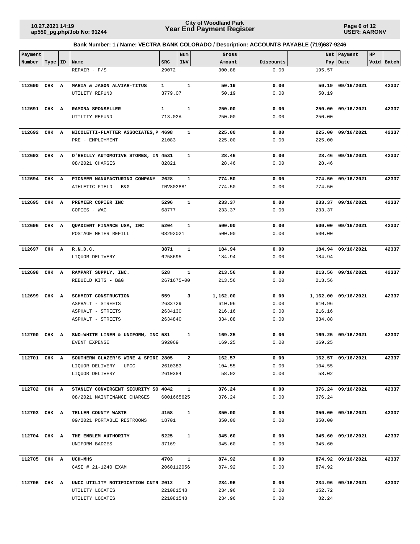**Page 6 of 12 USER: AARONV**

| Payment      |           |                                                        |                  | Num          |                | Gross              |              |        | Net   Payment       | HP |            |
|--------------|-----------|--------------------------------------------------------|------------------|--------------|----------------|--------------------|--------------|--------|---------------------|----|------------|
| Number       | Type   ID | Name                                                   | <b>SRC</b>       | INV          |                | Amount             | Discounts    |        | Pay   Date          |    | Void Batch |
|              |           | $REPAIR - F/S$                                         | 29072            |              |                | 300.88             | 0.00         | 195.57 |                     |    |            |
| 112690       | CHK A     | MARIA & JASON ALVIAR-TITUS                             | $\mathbf{1}$     | $\mathbf{1}$ |                | 50.19              | 0.00         |        | 50.19 09/16/2021    |    | 42337      |
|              |           | UTILITY REFUND                                         | 3779.07          |              |                | 50.19              | 0.00         | 50.19  |                     |    |            |
|              |           |                                                        |                  |              |                |                    |              |        |                     |    |            |
| 112691 CHK A |           | RAMONA SPONSELLER                                      | $\mathbf{1}$     | $\mathbf{1}$ |                | 250.00             | 0.00         | 250.00 | 09/16/2021          |    | 42337      |
|              |           | UTILTIY REFUND                                         | 713.02A          |              |                | 250.00             | 0.00         | 250.00 |                     |    |            |
|              |           |                                                        |                  |              |                |                    |              |        |                     |    |            |
| 112692 CHK A |           | NICOLETTI-FLATTER ASSOCIATES, P 4698                   |                  |              | 1              | 225.00             | 0.00         |        | 225.00 09/16/2021   |    | 42337      |
|              |           | PRE - EMPLOYMENT                                       | 21083            |              |                | 225.00             | 0.00         | 225.00 |                     |    |            |
| 112693 CHK A |           |                                                        |                  | 1            |                | 28.46              | 0.00         |        | 28.46 09/16/2021    |    | 42337      |
|              |           | O'REILLY AUTOMOTIVE STORES, IN 4531<br>08/2021 CHARGES | 82821            |              |                | 28.46              | 0.00         | 28.46  |                     |    |            |
|              |           |                                                        |                  |              |                |                    |              |        |                     |    |            |
| 112694 CHK A |           | PIONEER MANUFACTURING COMPANY                          | 2628             | 1            |                | 774.50             | 0.00         |        | 774.50 09/16/2021   |    | 42337      |
|              |           | ATHLETIC FIELD - B&G                                   | INV802881        |              |                | 774.50             | 0.00         | 774.50 |                     |    |            |
|              |           |                                                        |                  |              |                |                    |              |        |                     |    |            |
| 112695 CHK A |           | PREMIER COPIER INC                                     | 5296             |              | $\mathbf{1}$   | 233.37             | 0.00         |        | 233.37 09/16/2021   |    | 42337      |
|              |           | COPIES - WAC                                           | 68777            |              |                | 233.37             | 0.00         | 233.37 |                     |    |            |
|              |           |                                                        |                  |              |                |                    |              |        |                     |    |            |
| 112696 CHK A |           | QUADIENT FINANCE USA, INC                              | 5204<br>08292021 | $\mathbf{1}$ |                | 500.00<br>500.00   | 0.00<br>0.00 | 500.00 | 500.00 09/16/2021   |    | 42337      |
|              |           | POSTAGE METER REFILL                                   |                  |              |                |                    |              |        |                     |    |            |
| 112697 CHK A |           | R.N.D.C.                                               | 3871             | 1            |                | 184.94             | 0.00         |        | 184.94 09/16/2021   |    | 42337      |
|              |           | LIQUOR DELIVERY                                        | 6258695          |              |                | 184.94             | 0.00         | 184.94 |                     |    |            |
|              |           |                                                        |                  |              |                |                    |              |        |                     |    |            |
| 112698       | CHK A     | RAMPART SUPPLY, INC.                                   | 528              | $\mathbf{1}$ |                | 213.56             | 0.00         |        | 213.56 09/16/2021   |    | 42337      |
|              |           | REBUILD KITS - B&G                                     | 2671675-00       |              |                | 213.56             | 0.00         | 213.56 |                     |    |            |
|              |           |                                                        |                  |              |                |                    |              |        |                     |    |            |
| 112699       | CHK A     | SCHMIDT CONSTRUCTION<br>ASPHALT - STREETS              | 559<br>2633729   |              | 3              | 1,162.00<br>610.96 | 0.00<br>0.00 | 610.96 | 1,162.00 09/16/2021 |    | 42337      |
|              |           | ASPHALT - STREETS                                      | 2634130          |              |                | 216.16             | 0.00         | 216.16 |                     |    |            |
|              |           | ASPHALT - STREETS                                      | 2634840          |              |                | 334.88             | 0.00         | 334.88 |                     |    |            |
|              |           |                                                        |                  |              |                |                    |              |        |                     |    |            |
| 112700 CHK A |           | SNO-WHITE LINEN & UNIFORM, INC 581                     |                  | 1            |                | 169.25             | 0.00         |        | 169.25 09/16/2021   |    | 42337      |
|              |           | EVENT EXPENSE                                          | S92069           |              |                | 169.25             | 0.00         | 169.25 |                     |    |            |
|              |           |                                                        |                  |              |                |                    |              |        |                     |    |            |
| 112701 CHK A |           | SOUTHERN GLAZER'S WINE & SPIRI 2805                    |                  |              | $\overline{a}$ | 162.57             | 0.00         |        | 162.57 09/16/2021   |    | 42337      |
|              |           | LIQUOR DELIVERY - UPCC                                 | 2610383          |              |                | 104.55             | 0.00         | 104.55 |                     |    |            |
|              |           | LIQUOR DELIVERY                                        | 2610384          |              |                | 58.02              | 0.00         | 58.02  |                     |    |            |
| 112702 CHK A |           | STANLEY CONVERGENT SECURITY SO 4042                    |                  |              | $\mathbf{1}$   | 376.24             | 0.00         |        | 376.24 09/16/2021   |    | 42337      |
|              |           | 08/2021 MAINTENANCE CHARGES                            | 6001665625       |              |                | 376.24             | 0.00         | 376.24 |                     |    |            |
|              |           |                                                        |                  |              |                |                    |              |        |                     |    |            |
| 112703 CHK A |           | TELLER COUNTY WASTE                                    | 4158             |              | $\mathbf{1}$   | 350.00             | 0.00         |        | 350.00 09/16/2021   |    | 42337      |
|              |           | 09/2021 PORTABLE RESTROOMS                             | 18701            |              |                | 350.00             | 0.00         | 350.00 |                     |    |            |
|              |           |                                                        |                  |              |                |                    |              |        |                     |    |            |
| 112704 CHK A |           | THE EMBLEM AUTHORITY                                   | 5225             |              | $\mathbf{1}$   | 345.60             | 0.00         |        | 345.60 09/16/2021   |    | 42337      |
|              |           | UNIFORM BADGES                                         | 37169            |              |                | 345.60             | 0.00         | 345.60 |                     |    |            |
| 112705 CHK A |           | <b>UCH-MHS</b>                                         | 4703             |              | $\mathbf{1}$   | 874.92             | 0.00         |        | 874.92 09/16/2021   |    | 42337      |
|              |           | CASE # 21-1240 EXAM                                    | 2060112056       |              |                | 874.92             | 0.00         | 874.92 |                     |    |            |
|              |           |                                                        |                  |              |                |                    |              |        |                     |    |            |
| 112706 CHK A |           | UNCC UTILITY NOTIFICATION CNTR 2012                    |                  |              | $\mathbf{2}$   | 234.96             | 0.00         |        | 234.96 09/16/2021   |    | 42337      |
|              |           | UTILITY LOCATES                                        | 221081548        |              |                | 234.96             | 0.00         | 152.72 |                     |    |            |
|              |           | UTILITY LOCATES                                        | 221081548        |              |                | 234.96             | 0.00         | 82.24  |                     |    |            |
|              |           |                                                        |                  |              |                |                    |              |        |                     |    |            |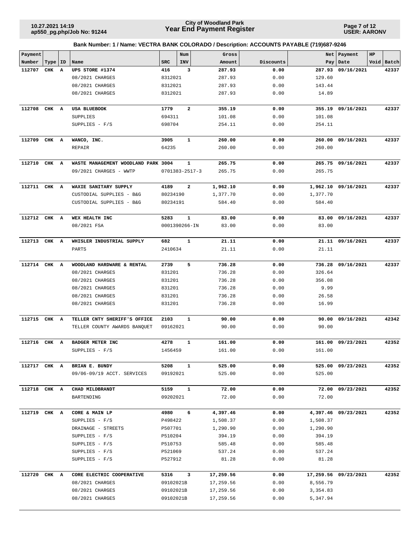**Page 7 of 12 USER: AARONV**

| Payment      |           |                                      |                      | Num                     | Gross           |              | Net             | Payment              | HP |            |
|--------------|-----------|--------------------------------------|----------------------|-------------------------|-----------------|--------------|-----------------|----------------------|----|------------|
| Number       | Type   ID | Name                                 | <b>SRC</b>           | INV                     | Amount          | Discounts    | Pay             | Date                 |    | Void Batch |
| 112707       | CHK A     | UPS STORE #1374                      | 416                  | 3                       | 287.93          | 0.00         | 287.93          | 09/16/2021           |    | 42337      |
|              |           | 08/2021 CHARGES                      | 8312021              |                         | 287.93          | 0.00         | 129.60          |                      |    |            |
|              |           | 08/2021 CHARGES                      | 8312021              |                         | 287.93          | 0.00         | 143.44          |                      |    |            |
|              |           | 08/2021 CHARGES                      | 8312021              |                         | 287.93          | 0.00         | 14.89           |                      |    |            |
| 112708       | CHK A     | USA BLUEBOOK                         | 1779                 | $\overline{\mathbf{2}}$ | 355.19          | 0.00         |                 | 355.19 09/16/2021    |    | 42337      |
|              |           | SUPPLIES                             | 694311               |                         | 101.08          | 0.00         | 101.08          |                      |    |            |
|              |           | SUPPLIES - F/S                       | 698704               |                         | 254.11          | 0.00         | 254.11          |                      |    |            |
| 112709 CHK A |           | WANCO, INC.                          | 3905                 | 1                       | 260.00          | 0.00         | 260.00          | 09/16/2021           |    | 42337      |
|              |           | <b>REPAIR</b>                        | 64235                |                         | 260.00          | 0.00         | 260.00          |                      |    |            |
| 112710       | CHK A     | WASTE MANAGEMENT WOODLAND PARK 3004  |                      | 1                       | 265.75          | 0.00         |                 | 265.75 09/16/2021    |    | 42337      |
|              |           | 09/2021 CHARGES - WWTP               | $0701383 - 2517 - 3$ |                         | 265.75          | 0.00         | 265.75          |                      |    |            |
| 112711       | CHK A     | WAXIE SANITARY SUPPLY                | 4189                 | $\mathbf{2}$            | 1,962.10        | 0.00         |                 | 1,962.10 09/16/2021  |    | 42337      |
|              |           | CUSTODIAL SUPPLIES - B&G             | 80234190             |                         | 1,377.70        | 0.00         | 1,377.70        |                      |    |            |
|              |           | CUSTODIAL SUPPLIES - B&G             | 80234191             |                         | 584.40          | 0.00         | 584.40          |                      |    |            |
| 112712 CHK A |           | WEX HEALTH INC                       | 5283                 | 1                       | 83.00           | 0.00         |                 | 83.00 09/16/2021     |    | 42337      |
|              |           | 08/2021 FSA                          | 0001390266-IN        |                         | 83.00           | 0.00         | 83.00           |                      |    |            |
|              |           |                                      |                      |                         |                 |              |                 |                      |    |            |
| 112713       | CHK A     | WHISLER INDUSTRIAL SUPPLY<br>PARTS   | 682<br>2410634       | 1                       | 21.11<br>21.11  | 0.00<br>0.00 | 21.11           | 21.11 09/16/2021     |    | 42337      |
|              |           |                                      |                      |                         |                 |              |                 |                      |    |            |
| 112714 CHK A |           | WOODLAND HARDWARE & RENTAL           | 2739                 | 5                       | 736.28          | 0.00         |                 | 736.28 09/16/2021    |    | 42337      |
|              |           | 08/2021 CHARGES                      | 831201               |                         | 736.28          | 0.00         | 326.64          |                      |    |            |
|              |           | 08/2021 CHARGES                      | 831201               |                         | 736.28          | 0.00         | 356.08          |                      |    |            |
|              |           | 08/2021 CHARGES                      | 831201               |                         | 736.28          | 0.00         | 9.99            |                      |    |            |
|              |           | 08/2021 CHARGES                      | 831201               |                         | 736.28          | 0.00         | 26.58           |                      |    |            |
|              |           | 08/2021 CHARGES                      | 831201               |                         | 736.28          | 0.00         | 16.99           |                      |    |            |
| 112715 CHK A |           | TELLER CNTY SHERIFF'S OFFICE         | 2103                 | $\mathbf 1$             | 90.00           | 0.00         | 90.00           | 09/16/2021           |    | 42342      |
|              |           | TELLER COUNTY AWARDS BANQUET         | 09162021             |                         | 90.00           | 0.00         | 90.00           |                      |    |            |
| 112716       | CHK A     | BADGER METER INC                     | 4278                 | 1                       | 161.00          | 0.00         | 161.00          | 09/23/2021           |    | 42352      |
|              |           | SUPPLIES - $F/S$                     | 1456459              |                         | 161.00          | 0.00         | 161.00          |                      |    |            |
| 112717 CHK A |           | BRIAN E. BUNDY                       | 5208                 | 1                       | 525.00          | 0.00         |                 | 525.00 09/23/2021    |    | 42352      |
|              |           | 09/06-09/19 ACCT. SERVICES           | 09192021             |                         | 525.00          | 0.00         | 525.00          |                      |    |            |
| 112718 CHK A |           | CHAD MILDBRANDT                      | 5159                 | $\mathbf{1}$            | 72.00           | 0.00         |                 | 72.00 09/23/2021     |    | 42352      |
|              |           | BARTENDING                           | 09202021             |                         | 72.00           | 0.00         | 72.00           |                      |    |            |
|              |           |                                      |                      |                         |                 |              |                 |                      |    |            |
| 112719 CHK A |           | CORE & MAIN LP                       | 4980                 | 6                       | 4,397.46        | 0.00         |                 | 4,397.46 09/23/2021  |    | 42352      |
|              |           | SUPPLIES $- F/S$                     | P498422              |                         | 1,508.37        | 0.00         | 1,508.37        |                      |    |            |
|              |           | DRAINAGE - STREETS                   | P507701              |                         | 1,290.90        | 0.00         | 1,290.90        |                      |    |            |
|              |           | SUPPLIES $- F/S$                     | P510204              |                         | 394.19          | 0.00         | 394.19          |                      |    |            |
|              |           | SUPPLIES $- F/S$                     | P510753              |                         | 585.48          | 0.00         | 585.48          |                      |    |            |
|              |           | SUPPLIES $- F/S$<br>SUPPLIES $- F/S$ | P521069<br>P527912   |                         | 537.24<br>81.28 | 0.00<br>0.00 | 537.24<br>81.28 |                      |    |            |
|              |           |                                      |                      |                         |                 |              |                 |                      |    |            |
| 112720 CHK A |           | CORE ELECTRIC COOPERATIVE            | 5316                 | 3                       | 17,259.56       | 0.00         |                 | 17,259.56 09/23/2021 |    | 42352      |
|              |           | 08/2021 CHARGES                      | 09102021B            |                         | 17,259.56       | 0.00         | 8,556.79        |                      |    |            |
|              |           | 08/2021 CHARGES                      | 09102021B            |                         | 17,259.56       | 0.00         | 3,354.83        |                      |    |            |
|              |           | 08/2021 CHARGES                      | 09102021B            |                         | 17,259.56       | 0.00         | 5,347.94        |                      |    |            |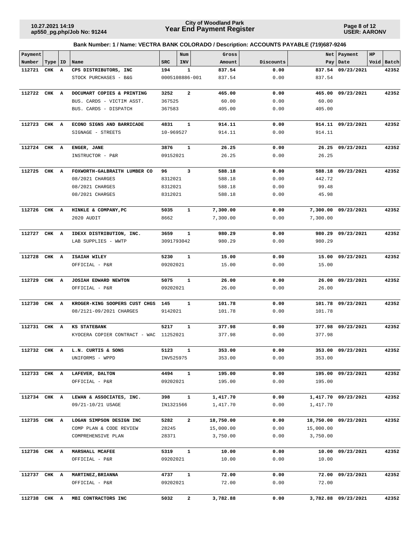**Page 8 of 12 USER: AARONV**

| Payment      |           |   |                                               |                  | Num            | Gross                |              |           | Net   Payment        | HP |            |
|--------------|-----------|---|-----------------------------------------------|------------------|----------------|----------------------|--------------|-----------|----------------------|----|------------|
| Number       | Type   ID |   | Name                                          | <b>SRC</b>       | INV            | Amount               | Discounts    |           | Pay   Date           |    | Void Batch |
| 112721       | CHK       | A | CPS DISTRIBUTORS, INC                         | 194              | 1              | 837.54               | 0.00         |           | 837.54 09/23/2021    |    | 42352      |
|              |           |   | STOCK PURCHASES - B&G                         | 0005108886-001   |                | 837.54               | 0.00         | 837.54    |                      |    |            |
| 112722       | CHK       | A | DOCUMART COPIES & PRINTING                    | 3252             | $\mathbf{2}$   | 465.00               | 0.00         | 465.00    | 09/23/2021           |    | 42352      |
|              |           |   | BUS. CARDS - VICTIM ASST.                     | 367525           |                | 60.00                | 0.00         | 60.00     |                      |    |            |
|              |           |   | BUS. CARDS - DISPATCH                         | 367583           |                | 405.00               | 0.00         | 405.00    |                      |    |            |
|              |           |   |                                               |                  |                |                      |              |           |                      |    |            |
| 112723 CHK A |           |   | ECONO SIGNS AND BARRICADE                     | 4831             | $\mathbf{1}$   | 914.11               | 0.00         |           | 914.11 09/23/2021    |    | 42352      |
|              |           |   | SIGNAGE - STREETS                             | 10-969527        |                | 914.11               | 0.00         | 914.11    |                      |    |            |
| 112724 CHK A |           |   | ENGER, JANE                                   | 3876             | $\mathbf{1}$   | 26.25                | 0.00         |           | 26.25 09/23/2021     |    | 42352      |
|              |           |   | INSTRUCTOR - P&R                              | 09152021         |                | 26.25                | 0.00         | 26.25     |                      |    |            |
| 112725       | CHK       | A | FOXWORTH-GALBRAITH LUMBER CO                  | 96               | 3              | 588.18               | 0.00         |           | 588.18 09/23/2021    |    | 42352      |
|              |           |   | 08/2021 CHARGES                               | 8312021          |                | 588.18               | 0.00         | 442.72    |                      |    |            |
|              |           |   | 08/2021 CHARGES                               | 8312021          |                | 588.18               | 0.00         | 99.48     |                      |    |            |
|              |           |   | 08/2021 CHARGES                               | 8312021          |                | 588.18               | 0.00         | 45.98     |                      |    |            |
|              |           |   |                                               |                  |                |                      |              |           |                      |    |            |
| 112726 CHK A |           |   | HINKLE & COMPANY, PC                          | 5035             | $\mathbf{1}$   | 7,300.00             | 0.00         |           | 7,300.00 09/23/2021  |    | 42352      |
|              |           |   | 2020 AUDIT                                    | 8662             |                | 7,300.00             | 0.00         | 7,300.00  |                      |    |            |
| 112727 CHK A |           |   | IDEXX DISTRIBUTION, INC.                      | 3659             | $\mathbf{1}$   | 980.29               | 0.00         | 980.29    | 09/23/2021           |    | 42352      |
|              |           |   | LAB SUPPLIES - WWTP                           | 3091793042       |                | 980.29               | 0.00         | 980.29    |                      |    |            |
|              |           |   |                                               |                  |                |                      |              |           |                      |    |            |
| 112728       | CHK A     |   | ISAIAH WILEY                                  | 5230             | 1              | 15.00                | 0.00         | 15.00     | 09/23/2021           |    | 42352      |
|              |           |   | OFFICIAL - P&R                                | 09202021         |                | 15.00                | 0.00         | 15.00     |                      |    |            |
| 112729       | CHK A     |   | JOSIAH EDWARD NEWTON                          | 5075             | $\mathbf{1}$   | 26.00                | 0.00         | 26.00     | 09/23/2021           |    | 42352      |
|              |           |   | OFFICIAL - P&R                                | 09202021         |                | 26.00                | 0.00         | 26.00     |                      |    |            |
| 112730       | CHK A     |   | KROGER-KING SOOPERS CUST CHGS                 | 145              | $\mathbf{1}$   | 101.78               | 0.00         | 101.78    | 09/23/2021           |    | 42352      |
|              |           |   | 08/2121-09/2021 CHARGES                       | 9142021          |                | 101.78               | 0.00         | 101.78    |                      |    |            |
| 112731 CHK A |           |   | <b>KS STATEBANK</b>                           | 5217             | 1              | 377.98               | 0.00         |           | 377.98 09/23/2021    |    | 42352      |
|              |           |   | KYOCERA COPIER CONTRACT - WAC                 | 11252021         |                | 377.98               | 0.00         | 377.98    |                      |    |            |
|              |           |   |                                               |                  |                |                      |              |           |                      |    |            |
| 112732 CHK   |           | A | L.N. CURTIS & SONS                            | 5123             | 1              | 353.00               | 0.00         |           | 353.00 09/23/2021    |    | 42352      |
|              |           |   | UNIFORMS - WPPD                               | INV525975        |                | 353.00               | 0.00         | 353.00    |                      |    |            |
| 112733 CHK A |           |   | LAFEVER, DALTON                               | 4494             | $\mathbf{1}$   | 195.00               | 0.00         |           | 195.00 09/23/2021    |    | 42352      |
|              |           |   | OFFICIAL - P&R                                | 09202021         |                | 195.00               | 0.00         | 195.00    |                      |    |            |
|              |           |   |                                               |                  |                |                      |              |           |                      |    |            |
| 112734 CHK A |           |   | LEWAN & ASSOCIATES, INC.<br>09/21-10/21 USAGE | 398<br>IN1321566 | $\mathbf{1}$   | 1,417.70<br>1,417.70 | 0.00<br>0.00 | 1,417.70  | 1,417.70 09/23/2021  |    | 42352      |
|              |           |   |                                               |                  |                |                      |              |           |                      |    |            |
| 112735 CHK A |           |   | LOGAN SIMPSON DESIGN INC                      | 5282             | $\overline{a}$ | 18,750.00            | 0.00         |           | 18,750.00 09/23/2021 |    | 42352      |
|              |           |   | COMP PLAN & CODE REVIEW                       | 28245            |                | 15,000.00            | 0.00         | 15,000.00 |                      |    |            |
|              |           |   | COMPREHENSIVE PLAN                            | 28371            |                | 3,750.00             | 0.00         | 3,750.00  |                      |    |            |
| 112736 CHK A |           |   | <b>MARSHALL MCAFEE</b>                        | 5319             | $\mathbf{1}$   | 10.00                | 0.00         | 10.00     | 09/23/2021           |    | 42352      |
|              |           |   | OFFICIAL - P&R                                | 09202021         |                | 10.00                | 0.00         | 10.00     |                      |    |            |
|              |           |   |                                               | 4737             | $\mathbf{1}$   | 72.00                |              |           |                      |    | 42352      |
| 112737 CHK A |           |   | MARTINEZ, BRIANNA<br>OFFICIAL - P&R           | 09202021         |                | 72.00                | 0.00<br>0.00 | 72.00     | 72.00 09/23/2021     |    |            |
|              |           |   |                                               |                  |                |                      |              |           |                      |    |            |
| 112738 CHK A |           |   | MBI CONTRACTORS INC                           | 5032             | $\mathbf{2}$   | 3,782.88             | 0.00         |           | 3,782.88 09/23/2021  |    | 42352      |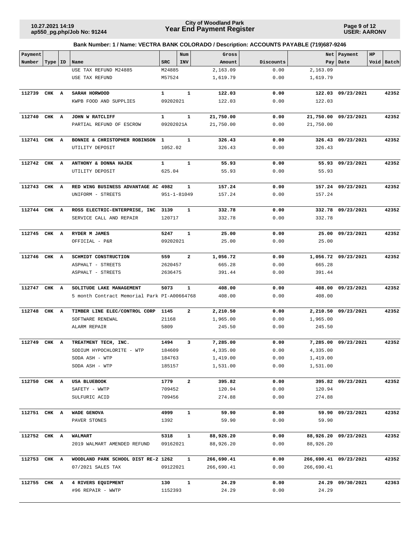**Page 9 of 12 USER: AARONV**

| Payment      |       |    |                                                   |                   | Num          | Gross                |              |            | Net Payment           | HP |            |
|--------------|-------|----|---------------------------------------------------|-------------------|--------------|----------------------|--------------|------------|-----------------------|----|------------|
| Number       | Type  | ID | Name                                              | <b>SRC</b>        | INV          | Amount               | Discounts    |            | Pay   Date            |    | Void Batch |
|              |       |    | USE TAX REFUND M24885                             | M24885            |              | 2,163.09             | 0.00         | 2,163.09   |                       |    |            |
|              |       |    | USE TAX REFUND                                    | M57524            |              | 1,619.79             | 0.00         | 1,619.79   |                       |    |            |
| 112739 CHK A |       |    | SARAH HORWOOD                                     | $\mathbf{1}$      | $\mathbf{1}$ | 122.03               | 0.00         |            | 122.03 09/23/2021     |    | 42352      |
|              |       |    | KWPB FOOD AND SUPPLIES                            | 09202021          |              | 122.03               | 0.00         | 122.03     |                       |    |            |
|              |       |    |                                                   |                   |              |                      |              |            |                       |    |            |
| 112740 CHK A |       |    | JOHN W RATCLIFF                                   | $\mathbf{1}$      | $\mathbf{1}$ | 21,750.00            | 0.00         |            | 21,750.00 09/23/2021  |    | 42352      |
|              |       |    | PARTIAL REFUND OF ESCROW                          | 09202021A         |              | 21,750.00            | 0.00         | 21,750.00  |                       |    |            |
|              |       |    |                                                   |                   |              |                      |              |            |                       |    |            |
| 112741       | CHK A |    | BONNIE & CHRISTOPHER ROBINSON 1                   |                   | 1            | 326.43               | 0.00         |            | 326.43 09/23/2021     |    | 42352      |
|              |       |    | UTILITY DEPOSIT                                   | 1052.02           |              | 326.43               | 0.00         | 326.43     |                       |    |            |
| 112742 CHK A |       |    | ANTHONY & DONNA HAJEK                             | $\mathbf{1}$      | $\mathbf{1}$ | 55.93                | 0.00         |            | 55.93 09/23/2021      |    | 42352      |
|              |       |    | UTILITY DEPOSIT                                   | 625.04            |              | 55.93                | 0.00         | 55.93      |                       |    |            |
|              |       |    |                                                   |                   |              |                      |              |            |                       |    |            |
| 112743 CHK A |       |    | RED WING BUSINESS ADVANTAGE AC 4982               |                   | 1            | 157.24               | 0.00         |            | 157.24 09/23/2021     |    | 42352      |
|              |       |    | UNIFORM - STREETS                                 | $951 - 1 - 81049$ |              | 157.24               | 0.00         | 157.24     |                       |    |            |
|              |       |    |                                                   |                   |              |                      |              |            |                       |    |            |
| 112744 CHK A |       |    | ROSS ELECTRIC-ENTERPRISE, INC 3139                |                   | 1            | 332.78               | 0.00         |            | 332.78 09/23/2021     |    | 42352      |
|              |       |    | SERVICE CALL AND REPAIR                           | 120717            |              | 332.78               | 0.00         | 332.78     |                       |    |            |
|              |       |    |                                                   |                   |              |                      |              |            |                       |    |            |
| 112745 CHK A |       |    | RYDER M JAMES                                     | 5247              | $\mathbf{1}$ | 25.00                | 0.00         |            | 25.00 09/23/2021      |    | 42352      |
|              |       |    | OFFICIAL - P&R                                    | 09202021          |              | 25.00                | 0.00         | 25.00      |                       |    |            |
| 112746 CHK A |       |    | SCHMIDT CONSTRUCTION                              | 559               | $\mathbf{2}$ | 1,056.72             | 0.00         |            | 1,056.72 09/23/2021   |    | 42352      |
|              |       |    | ASPHALT - STREETS                                 | 2620457           |              | 665.28               | 0.00         | 665.28     |                       |    |            |
|              |       |    | ASPHALT - STREETS                                 | 2636475           |              | 391.44               | 0.00         | 391.44     |                       |    |            |
| 112747 CHK A |       |    | SOLITUDE LAKE MANAGEMENT                          | 5073              | 1            | 408.00               | 0.00         |            | 408.00 09/23/2021     |    | 42352      |
|              |       |    | 5 month Contract Memorial Park PI-A00664768       |                   |              | 408.00               | 0.00         | 408.00     |                       |    |            |
|              |       |    |                                                   |                   |              |                      |              |            |                       |    |            |
| 112748       | CHK A |    | TIMBER LINE ELEC/CONTROL CORP                     | 1145              | 2            | 2,210.50             | 0.00         |            | 2,210.50 09/23/2021   |    | 42352      |
|              |       |    | SOFTWARE RENEWAL                                  | 21168             |              | 1,965.00             | 0.00         | 1,965.00   |                       |    |            |
|              |       |    | ALARM REPAIR                                      | 5809              |              | 245.50               | 0.00         | 245.50     |                       |    |            |
|              |       |    |                                                   |                   |              |                      |              |            |                       |    |            |
| 112749 CHK A |       |    | TREATMENT TECH, INC.<br>SODIUM HYPOCHLORITE - WTP | 1494<br>184609    | 3            | 7,285.00<br>4,335.00 | 0.00<br>0.00 | 4,335.00   | 7,285.00 09/23/2021   |    | 42352      |
|              |       |    | SODA ASH - WTP                                    | 184763            |              | 1,419.00             | 0.00         | 1,419.00   |                       |    |            |
|              |       |    | SODA ASH - WTP                                    | 185157            |              | 1,531.00             | 0.00         | 1,531.00   |                       |    |            |
|              |       |    |                                                   |                   |              |                      |              |            |                       |    |            |
| 112750 CHK A |       |    | USA BLUEBOOK                                      | 1779              | $\mathbf{2}$ | 395.82               | 0.00         |            | 395.82 09/23/2021     |    | 42352      |
|              |       |    | SAFETY - WWTP                                     | 709452            |              | 120.94               | 0.00         | 120.94     |                       |    |            |
|              |       |    | SULFURIC ACID                                     | 709456            |              | 274.88               | 0.00         | 274.88     |                       |    |            |
|              |       |    |                                                   |                   |              |                      |              |            |                       |    |            |
| 112751 CHK A |       |    | WADE GENOVA<br>PAVER STONES                       | 4999<br>1392      | $\mathbf{1}$ | 59.90<br>59.90       | 0.00<br>0.00 | 59.90      | 59.90 09/23/2021      |    | 42352      |
|              |       |    |                                                   |                   |              |                      |              |            |                       |    |            |
| 112752 CHK A |       |    | WALMART                                           | 5318              | $\mathbf{1}$ | 88,926.20            | 0.00         |            | 88,926.20 09/23/2021  |    | 42352      |
|              |       |    | 2019 WALMART AMENDED REFUND                       | 09162021          |              | 88,926.20            | 0.00         | 88,926.20  |                       |    |            |
|              |       |    |                                                   |                   |              |                      |              |            |                       |    |            |
| 112753 CHK A |       |    | WOODLAND PARK SCHOOL DIST RE-2 1262               |                   | $\mathbf{1}$ | 266,690.41           | 0.00         |            | 266,690.41 09/23/2021 |    | 42352      |
|              |       |    | 07/2021 SALES TAX                                 | 09122021          |              | 266,690.41           | 0.00         | 266,690.41 |                       |    |            |
| 112755 CHK A |       |    | 4 RIVERS EQUIPMENT                                | 130               | $\mathbf{1}$ | 24.29                | 0.00         |            | 24.29 09/30/2021      |    | 42363      |
|              |       |    | #96 REPAIR - WWTP                                 | 1152393           |              | 24.29                | 0.00         | 24.29      |                       |    |            |
|              |       |    |                                                   |                   |              |                      |              |            |                       |    |            |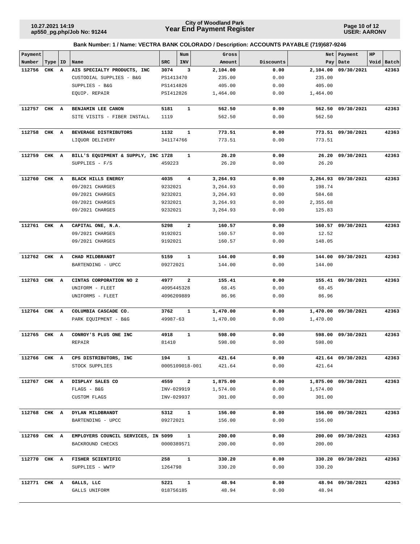**Page 10 of 12 USER: AARONV**

| Payment<br>Number | Type   ID |   | Name                                | <b>SRC</b> | Num<br>INV     | Gross<br>Amount | Discounts | Net<br>Pay | Payment<br>Date     | HP<br>Void Batch |
|-------------------|-----------|---|-------------------------------------|------------|----------------|-----------------|-----------|------------|---------------------|------------------|
| 112756            | CHK       | A | AIS SPECIALTY PRODUCTS, INC         | 3074       | 3              | 2,104.00        | 0.00      | 2,104.00   | 09/30/2021          | 42363            |
|                   |           |   | CUSTODIAL SUPPLIES - B&G            | PS1413470  |                | 235.00          | 0.00      | 235.00     |                     |                  |
|                   |           |   | SUPPLIES - B&G                      | PS1414826  |                | 405.00          | 0.00      | 405.00     |                     |                  |
|                   |           |   | EQUIP. REPAIR                       | PSI412826  |                | 1,464.00        | 0.00      | 1,464.00   |                     |                  |
|                   |           |   |                                     |            |                |                 |           |            |                     |                  |
| 112757 CHK A      |           |   | BENJAMIN LEE CANON                  | 5181       | $\mathbf{1}$   | 562.50          | 0.00      |            | 562.50 09/30/2021   | 42363            |
|                   |           |   | SITE VISITS - FIBER INSTALL         | 1119       |                | 562.50          | 0.00      | 562.50     |                     |                  |
| 112758 CHK A      |           |   | BEVERAGE DISTRIBUTORS               | 1132       | $\mathbf{1}$   | 773.51          | 0.00      |            | 773.51 09/30/2021   | 42363            |
|                   |           |   | LIQUOR DELIVERY                     | 341174766  |                | 773.51          | 0.00      | 773.51     |                     |                  |
| 112759 CHK A      |           |   | BILL'S EQUIPMENT & SUPPLY, INC 1728 |            | 1              | 26.20           | 0.00      |            | 26.20 09/30/2021    | 42363            |
|                   |           |   | SUPPLIES - F/S                      | 459223     |                | 26.20           | 0.00      | 26.20      |                     |                  |
|                   |           |   |                                     |            |                |                 |           |            |                     |                  |
| 112760            | CHK A     |   | <b>BLACK HILLS ENERGY</b>           | 4035       | 4              | 3,264.93        | 0.00      |            | 3,264.93 09/30/2021 | 42363            |
|                   |           |   | 09/2021 CHARGES                     | 9232021    |                | 3,264.93        | 0.00      | 198.74     |                     |                  |
|                   |           |   | 09/2021 CHARGES                     | 9232021    |                | 3,264.93        | 0.00      | 584.68     |                     |                  |
|                   |           |   | 09/2021 CHARGES                     | 9232021    |                | 3,264.93        | 0.00      | 2,355.68   |                     |                  |
|                   |           |   | 09/2021 CHARGES                     | 9232021    |                | 3,264.93        | 0.00      | 125.83     |                     |                  |
| 112761 CHK A      |           |   | CAPITAL ONE, N.A.                   | 5298       | $\overline{a}$ | 160.57          | 0.00      |            | 160.57 09/30/2021   | 42363            |
|                   |           |   | 09/2021 CHARGES                     | 9192021    |                | 160.57          | 0.00      | 12.52      |                     |                  |
|                   |           |   | 09/2021 CHARGES                     | 9192021    |                | 160.57          | 0.00      | 148.05     |                     |                  |
| 112762 CHK A      |           |   | CHAD MILDBRANDT                     | 5159       | $\mathbf{1}$   | 144.00          | 0.00      |            | 144.00 09/30/2021   | 42363            |
|                   |           |   | BARTENDING - UPCC                   | 09272021   |                | 144.00          | 0.00      | 144.00     |                     |                  |
|                   |           |   |                                     |            |                |                 |           |            |                     |                  |
| 112763 CHK A      |           |   | CINTAS CORPORATION NO 2             | 4977       | $\overline{a}$ | 155.41          | 0.00      |            | 155.41 09/30/2021   | 42363            |
|                   |           |   | UNIFORM - FLEET                     | 4095445328 |                | 68.45           | 0.00      | 68.45      |                     |                  |
|                   |           |   | UNIFORMS - FLEET                    | 4096209889 |                | 86.96           | 0.00      | 86.96      |                     |                  |
| 112764 CHK A      |           |   | COLUMBIA CASCADE CO.                | 3762       | $\mathbf{1}$   | 1,470.00        | 0.00      |            | 1,470.00 09/30/2021 | 42363            |
|                   |           |   | PARK EQUIPMENT - B&G                | 49987-63   |                | 1,470.00        | 0.00      | 1,470.00   |                     |                  |
|                   |           |   |                                     |            |                |                 |           |            |                     |                  |
| 112765            | CHK       | A | CONROY'S PLUS ONE INC               | 4918       | $\mathbf{1}$   | 598.00          | 0.00      | 598.00     | 09/30/2021          | 42363            |
|                   |           |   | REPAIR                              | 81410      |                | 598.00          | 0.00      | 598.00     |                     |                  |
| 112766 CHK A      |           |   | CPS DISTRIBUTORS, INC               | 194        | $\mathbf{1}$   | 421.64          | 0.00      |            | 421.64 09/30/2021   | 42363            |
|                   |           |   | STOCK SUPPLIES                      |            | 0005109018-001 | 421.64          | 0.00      | 421.64     |                     |                  |
| 112767 CHK A      |           |   | DISPLAY SALES CO                    | 4559       | $\mathbf{2}$   | 1,875.00        | 0.00      |            | 1,875.00 09/30/2021 | 42363            |
|                   |           |   | $FLAGS - B&G$                       | INV-029919 |                | 1,574.00        | 0.00      | 1,574.00   |                     |                  |
|                   |           |   | CUSTOM FLAGS                        | INV-029937 |                | 301.00          | 0.00      | 301.00     |                     |                  |
| 112768 CHK A      |           |   | DYLAN MILDBRANDT                    | 5312       | $\mathbf{1}$   | 156.00          | 0.00      |            | 156.00 09/30/2021   | 42363            |
|                   |           |   | BARTENDING - UPCC                   | 09272021   |                | 156.00          | 0.00      | 156.00     |                     |                  |
|                   |           |   |                                     |            |                |                 |           |            |                     |                  |
| 112769 CHK A      |           |   | EMPLOYERS COUNCIL SERVICES, IN 5099 |            | $\mathbf{1}$   | 200.00          | 0.00      |            | 200.00 09/30/2021   | 42363            |
|                   |           |   | BACKROUND CHECKS                    | 0000389571 |                | 200.00          | 0.00      | 200.00     |                     |                  |
| 112770 CHK A      |           |   | FISHER SCIENTIFIC                   | 258        | $\mathbf{1}$   | 330.20          | 0.00      |            | 330.20 09/30/2021   | 42363            |
|                   |           |   | SUPPLIES - WWTP                     | 1264798    |                | 330.20          | 0.00      | 330.20     |                     |                  |
| 112771 CHK A      |           |   | GALLS, LLC                          | 5221       | $\mathbf{1}$   | 48.94           | 0.00      |            | 48.94 09/30/2021    | 42363            |
|                   |           |   | GALLS UNIFORM                       | 018756185  |                | 48.94           | 0.00      | 48.94      |                     |                  |
|                   |           |   |                                     |            |                |                 |           |            |                     |                  |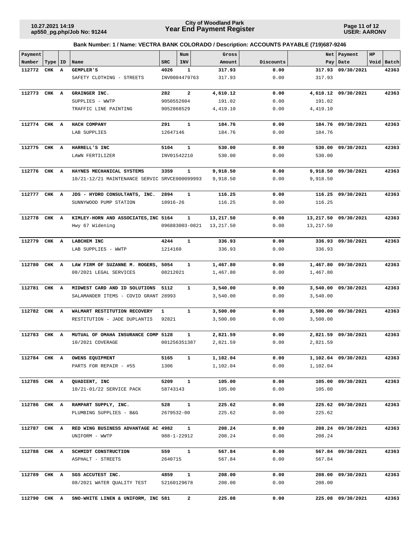**Page 11 of 12 USER: AARONV**

| Payment      |           |   |                                               |                | Num           | Gross      |           | Net       | Payment              | HP |            |
|--------------|-----------|---|-----------------------------------------------|----------------|---------------|------------|-----------|-----------|----------------------|----|------------|
| Number       | Type   ID |   | Name                                          | <b>SRC</b>     | INV           | Amount     | Discounts |           | Pay Date             |    | Void Batch |
| 112772       | CHK A     |   | GEMPLER'S                                     | 4026           | 1             | 317.93     | 0.00      | 317.93    | 09/30/2021           |    | 42363      |
|              |           |   | SAFETY CLOTHING - STREETS                     |                | INV0004479763 | 317.93     | 0.00      | 317.93    |                      |    |            |
| 112773       | CHK A     |   | GRAINGER INC.                                 | 282            | $\mathbf{2}$  | 4,610.12   | 0.00      | 4,610.12  | 09/30/2021           |    | 42363      |
|              |           |   | SUPPLIES - WWTP                               | 9050552604     |               | 191.02     | 0.00      | 191.02    |                      |    |            |
|              |           |   | TRAFFIC LINE PAINTING                         | 9052868529     |               | 4,419.10   | 0.00      | 4,419.10  |                      |    |            |
|              |           |   |                                               |                |               |            |           |           |                      |    |            |
| 112774 CHK A |           |   | HACH COMPANY                                  | 291            | $\mathbf{1}$  | 184.76     | 0.00      |           | 184.76 09/30/2021    |    | 42363      |
|              |           |   | LAB SUPPLIES                                  | 12647146       |               | 184.76     | 0.00      | 184.76    |                      |    |            |
| 112775       | CHK A     |   | HARRELL'S INC                                 | 5104           | 1             | 530.00     | 0.00      | 530.00    | 09/30/2021           |    | 42363      |
|              |           |   | LAWN FERTILIZER                               | INV01542210    |               | 530.00     | 0.00      | 530.00    |                      |    |            |
|              |           |   |                                               |                |               |            |           |           |                      |    |            |
| 112776 CHK A |           |   | HAYNES MECHANICAL SYSTEMS                     | 3359           | $\mathbf{1}$  | 9,918.50   | 0.00      |           | 9,918.50 09/30/2021  |    | 42363      |
|              |           |   | 10/21-12/21 MAINTENANCE SERVIC SRVCE000099993 |                |               | 9,918.50   | 0.00      | 9,918.50  |                      |    |            |
| 112777 CHK A |           |   | JDS - HYDRO CONSULTANTS, INC.                 | 2894           | 1             | 116.25     | 0.00      |           | 116.25 09/30/2021    |    | 42363      |
|              |           |   | SUNNYWOOD PUMP STATION                        | 10916-26       |               | 116.25     | 0.00      | 116.25    |                      |    |            |
|              |           |   |                                               |                |               |            |           |           |                      |    |            |
| 112778       | CHK A     |   | KIMLEY-HORN AND ASSOCIATES, INC 5164          |                | 1             | 13,217.50  | 0.00      |           | 13,217.50 09/30/2021 |    | 42363      |
|              |           |   | Hwy 67 Widening                               | 096883003-0821 |               | 13, 217.50 | 0.00      | 13,217.50 |                      |    |            |
| 112779 CHK A |           |   | LABCHEM INC                                   | 4244           | $\mathbf{1}$  | 336.93     | 0.00      |           | 336.93 09/30/2021    |    | 42363      |
|              |           |   | LAB SUPPLIES - WWTP                           | 1214160        |               | 336.93     | 0.00      | 336.93    |                      |    |            |
| 112780       | CHK A     |   | LAW FIRM OF SUZANNE M. ROGERS, 5054           |                | 1             | 1,467.80   | 0.00      | 1,467.80  | 09/30/2021           |    | 42363      |
|              |           |   | 08/2021 LEGAL SERVICES                        | 08212021       |               | 1,467.80   | 0.00      | 1,467.80  |                      |    |            |
|              |           |   |                                               |                |               |            |           |           |                      |    |            |
| 112781       | CHK       | A | MIDWEST CARD AND ID SOLUTIONS                 | 5112           | 1             | 3,540.00   | 0.00      | 3,540.00  | 09/30/2021           |    | 42363      |
|              |           |   | SALAMANDER ITEMS - COVID GRANT 28993          |                |               | 3,540.00   | 0.00      | 3,540.00  |                      |    |            |
|              |           |   |                                               |                |               |            |           |           |                      |    |            |
| 112782 CHK A |           |   | WALMART RESTITUTION RECOVERY                  | $\mathbf{1}$   | $\mathbf{1}$  | 3,500.00   | 0.00      | 3,500.00  | 09/30/2021           |    | 42363      |
|              |           |   | RESTITUTION - JADE DUPLANTIS                  | 92821          |               | 3,500.00   | 0.00      | 3,500.00  |                      |    |            |
| 112783       | CHK A     |   | MUTUAL OF OMAHA INSURANCE COMP 5128           |                | $\mathbf{1}$  | 2,821.59   | 0.00      |           | 2,821.59 09/30/2021  |    | 42363      |
|              |           |   | 10/2021 COVERAGE                              |                | 001256351387  | 2,821.59   | 0.00      | 2,821.59  |                      |    |            |
|              |           |   |                                               |                |               |            |           |           |                      |    |            |
|              |           |   | 112784 CHK A OWENS EQUIPMENT                  | 5165           | 1             | 1,102.04   | 0.00      |           | 1,102.04 09/30/2021  |    | 42363      |
|              |           |   | PARTS FOR REPAIR - #55                        | 1306           |               | 1,102.04   | 0.00      | 1,102.04  |                      |    |            |
| 112785 CHK A |           |   | QUADIENT, INC                                 | 5209           | $\mathbf{1}$  | 105.00     | 0.00      |           | 105.00 09/30/2021    |    | 42363      |
|              |           |   | 10/21-01/22 SERVICE PACK                      | 58743143       |               | 105.00     | 0.00      | 105.00    |                      |    |            |
|              |           |   |                                               |                |               |            |           |           |                      |    |            |
| 112786 CHK A |           |   | RAMPART SUPPLY, INC.                          | 528            | $\mathbf{1}$  | 225.62     | 0.00      |           | 225.62 09/30/2021    |    | 42363      |
|              |           |   | PLUMBING SUPPLIES - B&G                       |                | 2679532-00    | 225.62     | 0.00      | 225.62    |                      |    |            |
| 112787 CHK A |           |   | RED WING BUSINESS ADVANTAGE AC 4982           |                | $\mathbf{1}$  | 208.24     | 0.00      |           | 208.24 09/30/2021    |    | 42363      |
|              |           |   | UNIFORM - WWTP                                | 988-1-22912    |               | 208.24     | 0.00      | 208.24    |                      |    |            |
|              |           |   |                                               |                |               |            |           |           |                      |    |            |
| 112788 CHK A |           |   | SCHMIDT CONSTRUCTION                          | 559            | $\mathbf{1}$  | 567.84     | 0.00      |           | 567.84 09/30/2021    |    | 42363      |
|              |           |   | ASPHALT - STREETS                             | 2640715        |               | 567.84     | 0.00      | 567.84    |                      |    |            |
| 112789 CHK A |           |   | SGS ACCUTEST INC.                             | 4859           | $\mathbf{1}$  | 208.00     | 0.00      |           | 208.00 09/30/2021    |    | 42363      |
|              |           |   | 08/2021 WATER QUALITY TEST                    | 52160129678    |               | 208.00     | 0.00      | 208.00    |                      |    |            |
|              |           |   |                                               |                |               |            |           |           |                      |    |            |
| 112790 CHK A |           |   | SNO-WHITE LINEN & UNIFORM, INC 581            |                | $\mathbf{2}$  | 225.08     | 0.00      |           | 225.08 09/30/2021    |    | 42363      |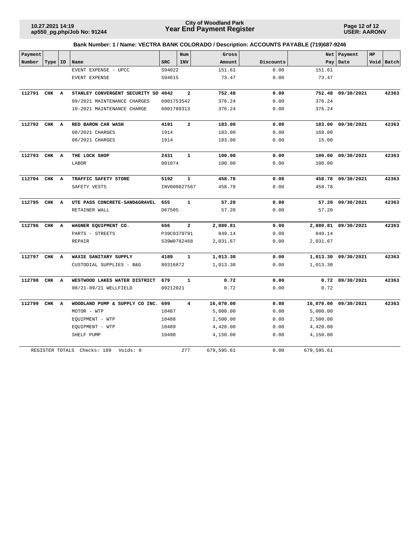**Page 12 of 12 USER: AARONV**

| Payment      |           |                                      |            | Num                     | Gross      |           |            | Net   Payment        | HP |            |
|--------------|-----------|--------------------------------------|------------|-------------------------|------------|-----------|------------|----------------------|----|------------|
| Number       | Type   ID | Name                                 | <b>SRC</b> | INV                     | Amount     | Discounts | Pay        | Date                 |    | Void Batch |
|              |           | EVENT EXPENSE - UPCC                 | S94022     |                         | 151.61     | 0.00      | 151.61     |                      |    |            |
|              |           | EVENT EXPENSE                        | S94615     |                         | 73.47      | 0.00      | 73.47      |                      |    |            |
|              |           |                                      |            |                         |            |           |            |                      |    |            |
| 112791 CHK A |           | STANLEY CONVERGENT SECURITY SO 4042  |            | $\overline{a}$          | 752.48     | 0.00      |            | 752.48 09/30/2021    |    | 42363      |
|              |           | 09/2021 MAINTENANCE CHARGES          | 6001753542 |                         | 376.24     | 0.00      | 376.24     |                      |    |            |
|              |           | 10-2021 MAINTENANCE CHARGE           | 6001789313 |                         | 376.24     | 0.00      | 376.24     |                      |    |            |
|              |           |                                      |            |                         |            |           |            |                      |    |            |
| 112792 CHK A |           | RED BARON CAR WASH                   | 4191       | $\overline{\mathbf{2}}$ | 183.00     | 0.00      |            | 183.00 09/30/2021    |    | 42363      |
|              |           | 08/2021 CHARGES                      | 1914       |                         | 183.00     | 0.00      | 168.00     |                      |    |            |
|              |           | 08/2021 CHARGES                      | 1914       |                         | 183.00     | 0.00      | 15.00      |                      |    |            |
| 112793 CHK A |           | THE LOCK SHOP                        | 2431       | $\mathbf{1}$            | 100.00     | 0.00      |            | 100.00 09/30/2021    |    | 42363      |
|              |           | LABOR                                | 001074     |                         | 100.00     | 0.00      | 100.00     |                      |    |            |
|              |           |                                      |            |                         |            |           |            |                      |    |            |
| 112794       | CHK A     | TRAFFIC SAFETY STORE                 | 5192       | $\mathbf{1}$            | 458.78     | 0.00      |            | 458.78 09/30/2021    |    | 42363      |
|              |           | SAFETY VESTS                         |            | INV000827567            | 458.78     | 0.00      | 458.78     |                      |    |            |
| 112795 CHK A |           |                                      |            | $\mathbf{1}$            | 57.20      |           |            | 57.20 09/30/2021     |    | 42363      |
|              |           | UTE PASS CONCRETE-SAND&GRAVEL        | 655        |                         |            | 0.00      |            |                      |    |            |
|              |           | RETAINER WALL                        | D67505     |                         | 57.20      | 0.00      | 57.20      |                      |    |            |
| 112796       | CHK A     | WAGNER EQUIPMENT CO.                 | 666        | $\overline{\mathbf{2}}$ | 2,880.81   | 0.00      |            | 2,880.81 09/30/2021  |    | 42363      |
|              |           | PARTS - STREETS                      |            | P39C0370791             | 849.14     | 0.00      | 849.14     |                      |    |            |
|              |           | <b>REPAIR</b>                        |            | S39W0782468             | 2,031.67   | 0.00      | 2,031.67   |                      |    |            |
| 112797       | CHK A     | WAXIE SANITARY SUPPLY                | 4189       | $\mathbf{1}$            | 1,013.30   | 0.00      |            | 1,013.30 09/30/2021  |    | 42363      |
|              |           | CUSTODIAL SUPPLIES - B&G             | 80316872   |                         | 1,013.30   | 0.00      | 1,013.30   |                      |    |            |
|              |           |                                      |            |                         |            |           |            |                      |    |            |
| 112798       | CHK A     | WESTWOOD LAKES WATER DISTRICT        | 679        | $\mathbf{1}$            | 0.72       | 0.00      |            | $0.72$ $09/30/2021$  |    | 42363      |
|              |           | 08/21-09/21 WELLFIELD                | 09212021   |                         | 0.72       | 0.00      | 0.72       |                      |    |            |
| 112799       | CHK A     | WOODLAND PUMP & SUPPLY CO INC. 699   |            | $\overline{4}$          | 16,070.00  | 0.00      |            | 16,070.00 09/30/2021 |    | 42363      |
|              |           | MOTOR - WTP                          | 10487      |                         | 5,000.00   | 0.00      | 5,000.00   |                      |    |            |
|              |           | EQUIPMENT - WTP                      | 10488      |                         | 2,500.00   | 0.00      | 2,500.00   |                      |    |            |
|              |           | EQUIPMENT - WTP                      | 10489      |                         | 4,420.00   | 0.00      | 4,420.00   |                      |    |            |
|              |           | SHELF PUMP                           | 10490      |                         | 4,150.00   | 0.00      | 4,150.00   |                      |    |            |
|              |           | REGISTER TOTALS Checks: 189 Voids: 0 |            | 277                     | 679,595.61 | 0.00      | 679,595.61 |                      |    |            |
|              |           |                                      |            |                         |            |           |            |                      |    |            |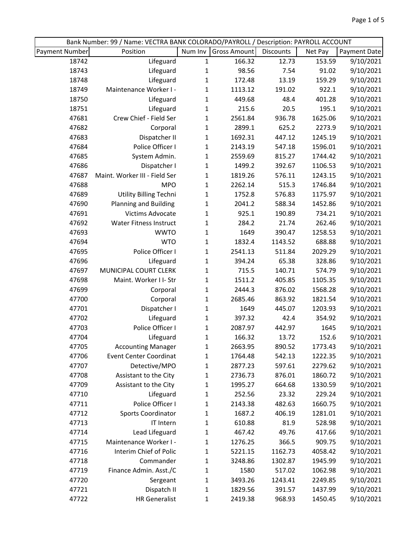| Bank Number: 99 / Name: VECTRA BANK COLORADO/PAYROLL / Description: PAYROLL ACCOUNT |                               |              |                     |           |         |              |  |  |  |
|-------------------------------------------------------------------------------------|-------------------------------|--------------|---------------------|-----------|---------|--------------|--|--|--|
| <b>Payment Number</b>                                                               | Position                      | Num Inv      | <b>Gross Amount</b> | Discounts | Net Pay | Payment Date |  |  |  |
| 18742                                                                               | Lifeguard                     | $\mathbf{1}$ | 166.32              | 12.73     | 153.59  | 9/10/2021    |  |  |  |
| 18743                                                                               | Lifeguard                     | $\mathbf{1}$ | 98.56               | 7.54      | 91.02   | 9/10/2021    |  |  |  |
| 18748                                                                               | Lifeguard                     | $\mathbf{1}$ | 172.48              | 13.19     | 159.29  | 9/10/2021    |  |  |  |
| 18749                                                                               | Maintenance Worker I -        | $\mathbf{1}$ | 1113.12             | 191.02    | 922.1   | 9/10/2021    |  |  |  |
| 18750                                                                               | Lifeguard                     | $\mathbf{1}$ | 449.68              | 48.4      | 401.28  | 9/10/2021    |  |  |  |
| 18751                                                                               | Lifeguard                     | $\mathbf{1}$ | 215.6               | 20.5      | 195.1   | 9/10/2021    |  |  |  |
| 47681                                                                               | Crew Chief - Field Ser        | $\mathbf{1}$ | 2561.84             | 936.78    | 1625.06 | 9/10/2021    |  |  |  |
| 47682                                                                               | Corporal                      | $\mathbf{1}$ | 2899.1              | 625.2     | 2273.9  | 9/10/2021    |  |  |  |
| 47683                                                                               | Dispatcher II                 | $\mathbf{1}$ | 1692.31             | 447.12    | 1245.19 | 9/10/2021    |  |  |  |
| 47684                                                                               | Police Officer I              | $\mathbf{1}$ | 2143.19             | 547.18    | 1596.01 | 9/10/2021    |  |  |  |
| 47685                                                                               | System Admin.                 | $\mathbf 1$  | 2559.69             | 815.27    | 1744.42 | 9/10/2021    |  |  |  |
| 47686                                                                               | Dispatcher I                  | $\mathbf{1}$ | 1499.2              | 392.67    | 1106.53 | 9/10/2021    |  |  |  |
| 47687                                                                               | Maint. Worker III - Field Ser | $\mathbf{1}$ | 1819.26             | 576.11    | 1243.15 | 9/10/2021    |  |  |  |
| 47688                                                                               | <b>MPO</b>                    | 1            | 2262.14             | 515.3     | 1746.84 | 9/10/2021    |  |  |  |
| 47689                                                                               | <b>Utility Billing Techni</b> | $\mathbf{1}$ | 1752.8              | 576.83    | 1175.97 | 9/10/2021    |  |  |  |
| 47690                                                                               | <b>Planning and Building</b>  | $\mathbf 1$  | 2041.2              | 588.34    | 1452.86 | 9/10/2021    |  |  |  |
| 47691                                                                               | Victims Advocate              | $\mathbf{1}$ | 925.1               | 190.89    | 734.21  | 9/10/2021    |  |  |  |
| 47692                                                                               | <b>Water Fitness Instruct</b> | $\mathbf{1}$ | 284.2               | 21.74     | 262.46  | 9/10/2021    |  |  |  |
| 47693                                                                               | <b>WWTO</b>                   | 1            | 1649                | 390.47    | 1258.53 | 9/10/2021    |  |  |  |
| 47694                                                                               | <b>WTO</b>                    | $\mathbf 1$  | 1832.4              | 1143.52   | 688.88  | 9/10/2021    |  |  |  |
| 47695                                                                               | Police Officer I              | $\mathbf{1}$ | 2541.13             | 511.84    | 2029.29 | 9/10/2021    |  |  |  |
| 47696                                                                               | Lifeguard                     | $\mathbf{1}$ | 394.24              | 65.38     | 328.86  | 9/10/2021    |  |  |  |
| 47697                                                                               | MUNICIPAL COURT CLERK         | $\mathbf{1}$ | 715.5               | 140.71    | 574.79  | 9/10/2021    |  |  |  |
| 47698                                                                               | Maint. Worker I I- Str        | $\mathbf{1}$ | 1511.2              | 405.85    | 1105.35 | 9/10/2021    |  |  |  |
| 47699                                                                               | Corporal                      | $\mathbf{1}$ | 2444.3              | 876.02    | 1568.28 | 9/10/2021    |  |  |  |
| 47700                                                                               | Corporal                      | $\mathbf{1}$ | 2685.46             | 863.92    | 1821.54 | 9/10/2021    |  |  |  |
| 47701                                                                               | Dispatcher I                  | $\mathbf{1}$ | 1649                | 445.07    | 1203.93 | 9/10/2021    |  |  |  |
| 47702                                                                               | Lifeguard                     | $\mathbf{1}$ | 397.32              | 42.4      | 354.92  | 9/10/2021    |  |  |  |
| 47703                                                                               | Police Officer I              | $\mathbf{1}$ | 2087.97             | 442.97    | 1645    | 9/10/2021    |  |  |  |
| 47704                                                                               | Lifeguard                     | $\mathbf{1}$ | 166.32              | 13.72     | 152.6   | 9/10/2021    |  |  |  |
| 47705                                                                               | <b>Accounting Manager</b>     | 1            | 2663.95             | 890.52    | 1773.43 | 9/10/2021    |  |  |  |
| 47706                                                                               | <b>Event Center Coordinat</b> | $\mathbf{1}$ | 1764.48             | 542.13    | 1222.35 | 9/10/2021    |  |  |  |
| 47707                                                                               | Detective/MPO                 | $\mathbf{1}$ | 2877.23             | 597.61    | 2279.62 | 9/10/2021    |  |  |  |
| 47708                                                                               | Assistant to the City         | $\mathbf{1}$ | 2736.73             | 876.01    | 1860.72 | 9/10/2021    |  |  |  |
| 47709                                                                               | Assistant to the City         | 1            | 1995.27             | 664.68    | 1330.59 | 9/10/2021    |  |  |  |
| 47710                                                                               | Lifeguard                     | 1            | 252.56              | 23.32     | 229.24  | 9/10/2021    |  |  |  |
| 47711                                                                               | Police Officer I              | 1            | 2143.38             | 482.63    | 1660.75 | 9/10/2021    |  |  |  |
| 47712                                                                               | <b>Sports Coordinator</b>     | 1            | 1687.2              | 406.19    | 1281.01 | 9/10/2021    |  |  |  |
| 47713                                                                               | IT Intern                     | 1            | 610.88              | 81.9      | 528.98  | 9/10/2021    |  |  |  |
| 47714                                                                               | Lead Lifeguard                | 1            | 467.42              | 49.76     | 417.66  | 9/10/2021    |  |  |  |
| 47715                                                                               | Maintenance Worker I -        | 1            | 1276.25             | 366.5     | 909.75  | 9/10/2021    |  |  |  |
| 47716                                                                               | Interim Chief of Polic        | 1            | 5221.15             | 1162.73   | 4058.42 | 9/10/2021    |  |  |  |
| 47718                                                                               | Commander                     | 1            | 3248.86             | 1302.87   | 1945.99 | 9/10/2021    |  |  |  |
| 47719                                                                               | Finance Admin. Asst./C        | 1            | 1580                | 517.02    | 1062.98 | 9/10/2021    |  |  |  |
| 47720                                                                               | Sergeant                      | 1            | 3493.26             | 1243.41   | 2249.85 | 9/10/2021    |  |  |  |
| 47721                                                                               | Dispatch II                   | $\mathbf{1}$ | 1829.56             | 391.57    | 1437.99 | 9/10/2021    |  |  |  |
| 47722                                                                               | <b>HR Generalist</b>          | $\mathbf{1}$ | 2419.38             | 968.93    | 1450.45 | 9/10/2021    |  |  |  |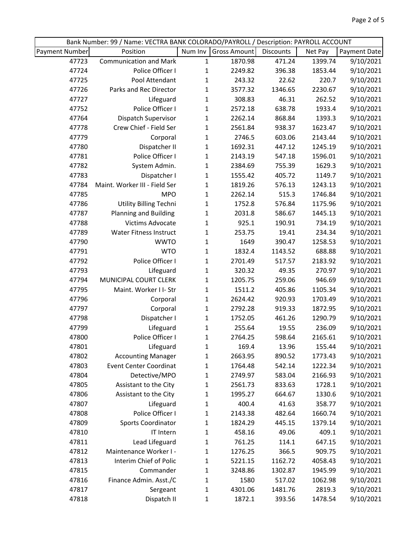|                       | Bank Number: 99 / Name: VECTRA BANK COLORADO/PAYROLL / Description: PAYROLL ACCOUNT |              |              |           |         |              |
|-----------------------|-------------------------------------------------------------------------------------|--------------|--------------|-----------|---------|--------------|
| <b>Payment Number</b> | Position                                                                            | Num Inv      | Gross Amount | Discounts | Net Pay | Payment Date |
| 47723                 | <b>Communication and Mark</b>                                                       | 1            | 1870.98      | 471.24    | 1399.74 | 9/10/2021    |
| 47724                 | Police Officer I                                                                    | $\mathbf{1}$ | 2249.82      | 396.38    | 1853.44 | 9/10/2021    |
| 47725                 | Pool Attendant                                                                      | $\mathbf{1}$ | 243.32       | 22.62     | 220.7   | 9/10/2021    |
| 47726                 | Parks and Rec Director                                                              | $\mathbf{1}$ | 3577.32      | 1346.65   | 2230.67 | 9/10/2021    |
| 47727                 | Lifeguard                                                                           | $\mathbf 1$  | 308.83       | 46.31     | 262.52  | 9/10/2021    |
| 47752                 | Police Officer I                                                                    | $\mathbf 1$  | 2572.18      | 638.78    | 1933.4  | 9/10/2021    |
| 47764                 | Dispatch Supervisor                                                                 | $\mathbf{1}$ | 2262.14      | 868.84    | 1393.3  | 9/10/2021    |
| 47778                 | Crew Chief - Field Ser                                                              | 1            | 2561.84      | 938.37    | 1623.47 | 9/10/2021    |
| 47779                 | Corporal                                                                            | $\mathbf{1}$ | 2746.5       | 603.06    | 2143.44 | 9/10/2021    |
| 47780                 | Dispatcher II                                                                       | 1            | 1692.31      | 447.12    | 1245.19 | 9/10/2021    |
| 47781                 | Police Officer I                                                                    | $\mathbf{1}$ | 2143.19      | 547.18    | 1596.01 | 9/10/2021    |
| 47782                 | System Admin.                                                                       | $\mathbf{1}$ | 2384.69      | 755.39    | 1629.3  | 9/10/2021    |
| 47783                 | Dispatcher I                                                                        | 1            | 1555.42      | 405.72    | 1149.7  | 9/10/2021    |
| 47784                 | Maint. Worker III - Field Ser                                                       | $\mathbf{1}$ | 1819.26      | 576.13    | 1243.13 | 9/10/2021    |
| 47785                 | <b>MPO</b>                                                                          | 1            | 2262.14      | 515.3     | 1746.84 | 9/10/2021    |
| 47786                 | <b>Utility Billing Techni</b>                                                       | 1            | 1752.8       | 576.84    | 1175.96 | 9/10/2021    |
| 47787                 | <b>Planning and Building</b>                                                        | $\mathbf{1}$ | 2031.8       | 586.67    | 1445.13 | 9/10/2021    |
| 47788                 | Victims Advocate                                                                    | 1            | 925.1        | 190.91    | 734.19  | 9/10/2021    |
| 47789                 | <b>Water Fitness Instruct</b>                                                       | $\mathbf{1}$ | 253.75       | 19.41     | 234.34  | 9/10/2021    |
| 47790                 | <b>WWTO</b>                                                                         | 1            | 1649         | 390.47    | 1258.53 | 9/10/2021    |
| 47791                 | <b>WTO</b>                                                                          | 1            | 1832.4       | 1143.52   | 688.88  | 9/10/2021    |
| 47792                 | Police Officer I                                                                    | $\mathbf 1$  | 2701.49      | 517.57    | 2183.92 | 9/10/2021    |
| 47793                 | Lifeguard                                                                           | 1            | 320.32       | 49.35     | 270.97  | 9/10/2021    |
| 47794                 | MUNICIPAL COURT CLERK                                                               | 1            | 1205.75      | 259.06    | 946.69  | 9/10/2021    |
| 47795                 | Maint. Worker I I- Str                                                              | $\mathbf{1}$ | 1511.2       | 405.86    | 1105.34 | 9/10/2021    |
| 47796                 | Corporal                                                                            | 1            | 2624.42      | 920.93    | 1703.49 | 9/10/2021    |
| 47797                 | Corporal                                                                            | $\mathbf{1}$ | 2792.28      | 919.33    | 1872.95 | 9/10/2021    |
| 47798                 | Dispatcher I                                                                        | 1            | 1752.05      | 461.26    | 1290.79 | 9/10/2021    |
| 47799                 | Lifeguard                                                                           | $\mathbf 1$  | 255.64       | 19.55     | 236.09  | 9/10/2021    |
| 47800                 | Police Officer I                                                                    | $\mathbf{1}$ | 2764.25      | 598.64    | 2165.61 | 9/10/2021    |
| 47801                 | Lifeguard                                                                           | 1            | 169.4        | 13.96     | 155.44  | 9/10/2021    |
| 47802                 | <b>Accounting Manager</b>                                                           | 1            | 2663.95      | 890.52    | 1773.43 | 9/10/2021    |
| 47803                 | <b>Event Center Coordinat</b>                                                       | 1            | 1764.48      | 542.14    | 1222.34 | 9/10/2021    |
| 47804                 | Detective/MPO                                                                       | 1            | 2749.97      | 583.04    | 2166.93 | 9/10/2021    |
| 47805                 | Assistant to the City                                                               | 1            | 2561.73      | 833.63    | 1728.1  | 9/10/2021    |
| 47806                 | Assistant to the City                                                               | 1            | 1995.27      | 664.67    | 1330.6  | 9/10/2021    |
| 47807                 | Lifeguard                                                                           | 1            | 400.4        | 41.63     | 358.77  | 9/10/2021    |
| 47808                 | Police Officer I                                                                    | 1            | 2143.38      | 482.64    | 1660.74 | 9/10/2021    |
| 47809                 | Sports Coordinator                                                                  | 1            | 1824.29      | 445.15    | 1379.14 | 9/10/2021    |
| 47810                 | IT Intern                                                                           | 1            | 458.16       | 49.06     | 409.1   | 9/10/2021    |
| 47811                 | Lead Lifeguard                                                                      | 1            | 761.25       | 114.1     | 647.15  | 9/10/2021    |
| 47812                 | Maintenance Worker I -                                                              | 1            | 1276.25      | 366.5     | 909.75  | 9/10/2021    |
| 47813                 | Interim Chief of Polic                                                              | 1            | 5221.15      | 1162.72   | 4058.43 | 9/10/2021    |
| 47815                 | Commander                                                                           | 1            | 3248.86      | 1302.87   | 1945.99 | 9/10/2021    |
| 47816                 | Finance Admin. Asst./C                                                              | 1            | 1580         | 517.02    | 1062.98 | 9/10/2021    |
| 47817                 | Sergeant                                                                            | 1            | 4301.06      | 1481.76   | 2819.3  | 9/10/2021    |
| 47818                 | Dispatch II                                                                         | 1            | 1872.1       | 393.56    | 1478.54 | 9/10/2021    |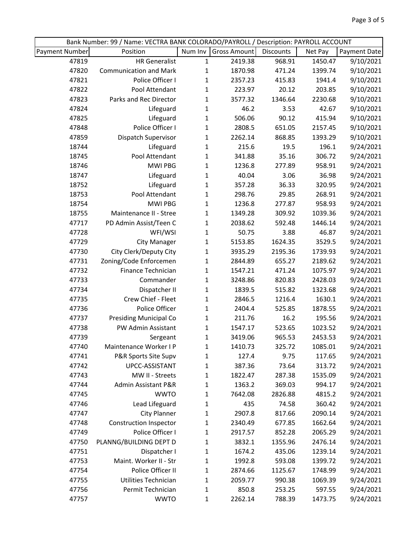| Bank Number: 99 / Name: VECTRA BANK COLORADO/PAYROLL / Description: PAYROLL ACCOUNT |                               |              |              |           |         |              |  |  |  |
|-------------------------------------------------------------------------------------|-------------------------------|--------------|--------------|-----------|---------|--------------|--|--|--|
| <b>Payment Number</b>                                                               | Position                      | Num Inv      | Gross Amount | Discounts | Net Pay | Payment Date |  |  |  |
| 47819                                                                               | <b>HR Generalist</b>          | $\mathbf{1}$ | 2419.38      | 968.91    | 1450.47 | 9/10/2021    |  |  |  |
| 47820                                                                               | <b>Communication and Mark</b> | $\mathbf{1}$ | 1870.98      | 471.24    | 1399.74 | 9/10/2021    |  |  |  |
| 47821                                                                               | Police Officer I              | $\mathbf{1}$ | 2357.23      | 415.83    | 1941.4  | 9/10/2021    |  |  |  |
| 47822                                                                               | Pool Attendant                | $\mathbf{1}$ | 223.97       | 20.12     | 203.85  | 9/10/2021    |  |  |  |
| 47823                                                                               | Parks and Rec Director        | $\mathbf{1}$ | 3577.32      | 1346.64   | 2230.68 | 9/10/2021    |  |  |  |
| 47824                                                                               | Lifeguard                     | $\mathbf{1}$ | 46.2         | 3.53      | 42.67   | 9/10/2021    |  |  |  |
| 47825                                                                               | Lifeguard                     | $\mathbf{1}$ | 506.06       | 90.12     | 415.94  | 9/10/2021    |  |  |  |
| 47848                                                                               | Police Officer I              | $\mathbf{1}$ | 2808.5       | 651.05    | 2157.45 | 9/10/2021    |  |  |  |
| 47859                                                                               | Dispatch Supervisor           | $\mathbf{1}$ | 2262.14      | 868.85    | 1393.29 | 9/10/2021    |  |  |  |
| 18744                                                                               | Lifeguard                     | $\mathbf{1}$ | 215.6        | 19.5      | 196.1   | 9/24/2021    |  |  |  |
| 18745                                                                               | Pool Attendant                | $\mathbf{1}$ | 341.88       | 35.16     | 306.72  | 9/24/2021    |  |  |  |
| 18746                                                                               | <b>MWI PBG</b>                | $\mathbf{1}$ | 1236.8       | 277.89    | 958.91  | 9/24/2021    |  |  |  |
| 18747                                                                               | Lifeguard                     | $\mathbf{1}$ | 40.04        | 3.06      | 36.98   | 9/24/2021    |  |  |  |
| 18752                                                                               | Lifeguard                     | $\mathbf{1}$ | 357.28       | 36.33     | 320.95  | 9/24/2021    |  |  |  |
| 18753                                                                               | Pool Attendant                | $\mathbf{1}$ | 298.76       | 29.85     | 268.91  | 9/24/2021    |  |  |  |
| 18754                                                                               | <b>MWI PBG</b>                | $\mathbf{1}$ | 1236.8       | 277.87    | 958.93  | 9/24/2021    |  |  |  |
| 18755                                                                               | Maintenance II - Stree        | $\mathbf{1}$ | 1349.28      | 309.92    | 1039.36 | 9/24/2021    |  |  |  |
| 47717                                                                               | PD Admin Assist/Teen C        | $\mathbf{1}$ | 2038.62      | 592.48    | 1446.14 | 9/24/2021    |  |  |  |
| 47728                                                                               | WFI/WSI                       | $\mathbf 1$  | 50.75        | 3.88      | 46.87   | 9/24/2021    |  |  |  |
| 47729                                                                               | <b>City Manager</b>           | $\mathbf{1}$ | 5153.85      | 1624.35   | 3529.5  | 9/24/2021    |  |  |  |
| 47730                                                                               | City Clerk/Deputy City        | $\mathbf{1}$ | 3935.29      | 2195.36   | 1739.93 | 9/24/2021    |  |  |  |
| 47731                                                                               | Zoning/Code Enforcemen        | $\mathbf{1}$ | 2844.89      | 655.27    | 2189.62 | 9/24/2021    |  |  |  |
| 47732                                                                               | Finance Technician            | $\mathbf{1}$ | 1547.21      | 471.24    | 1075.97 | 9/24/2021    |  |  |  |
| 47733                                                                               | Commander                     | $\mathbf{1}$ | 3248.86      | 820.83    | 2428.03 | 9/24/2021    |  |  |  |
| 47734                                                                               | Dispatcher II                 | $\mathbf{1}$ | 1839.5       | 515.82    | 1323.68 | 9/24/2021    |  |  |  |
| 47735                                                                               | Crew Chief - Fleet            | $\mathbf{1}$ | 2846.5       | 1216.4    | 1630.1  | 9/24/2021    |  |  |  |
| 47736                                                                               | Police Officer                | $\mathbf{1}$ | 2404.4       | 525.85    | 1878.55 | 9/24/2021    |  |  |  |
| 47737                                                                               | <b>Presiding Municipal Co</b> | $\mathbf{1}$ | 211.76       | 16.2      | 195.56  | 9/24/2021    |  |  |  |
| 47738                                                                               | PW Admin Assistant            | $\mathbf{1}$ | 1547.17      | 523.65    | 1023.52 | 9/24/2021    |  |  |  |
| 47739                                                                               | Sergeant                      | $\mathbf{1}$ | 3419.06      | 965.53    | 2453.53 | 9/24/2021    |  |  |  |
| 47740                                                                               | Maintenance Worker I P        | 1            | 1410.73      | 325.72    | 1085.01 | 9/24/2021    |  |  |  |
| 47741                                                                               | P&R Sports Site Supv          | $\mathbf{1}$ | 127.4        | 9.75      | 117.65  | 9/24/2021    |  |  |  |
| 47742                                                                               | UPCC-ASSISTANT                | $\mathbf{1}$ | 387.36       | 73.64     | 313.72  | 9/24/2021    |  |  |  |
| 47743                                                                               | MW II - Streets               | 1            | 1822.47      | 287.38    | 1535.09 | 9/24/2021    |  |  |  |
| 47744                                                                               | Admin Assistant P&R           | 1            | 1363.2       | 369.03    | 994.17  | 9/24/2021    |  |  |  |
| 47745                                                                               | <b>WWTO</b>                   | 1            | 7642.08      | 2826.88   | 4815.2  | 9/24/2021    |  |  |  |
| 47746                                                                               | Lead Lifeguard                | 1            | 435          | 74.58     | 360.42  | 9/24/2021    |  |  |  |
| 47747                                                                               | <b>City Planner</b>           | 1            | 2907.8       | 817.66    | 2090.14 | 9/24/2021    |  |  |  |
| 47748                                                                               | <b>Construction Inspector</b> | 1            | 2340.49      | 677.85    | 1662.64 | 9/24/2021    |  |  |  |
| 47749                                                                               | Police Officer I              | 1            | 2917.57      | 852.28    | 2065.29 | 9/24/2021    |  |  |  |
| 47750                                                                               | PLANNG/BUILDING DEPT D        | 1            | 3832.1       | 1355.96   | 2476.14 | 9/24/2021    |  |  |  |
| 47751                                                                               | Dispatcher I                  | 1            | 1674.2       | 435.06    | 1239.14 | 9/24/2021    |  |  |  |
| 47753                                                                               | Maint. Worker II - Str        | 1            | 1992.8       | 593.08    | 1399.72 | 9/24/2021    |  |  |  |
| 47754                                                                               | Police Officer II             | 1            | 2874.66      | 1125.67   | 1748.99 | 9/24/2021    |  |  |  |
| 47755                                                                               | Utilities Technician          | 1            | 2059.77      | 990.38    | 1069.39 | 9/24/2021    |  |  |  |
| 47756                                                                               | Permit Technician             | $\mathbf{1}$ | 850.8        | 253.25    | 597.55  | 9/24/2021    |  |  |  |
| 47757                                                                               | <b>WWTO</b>                   | $\mathbf{1}$ | 2262.14      | 788.39    | 1473.75 | 9/24/2021    |  |  |  |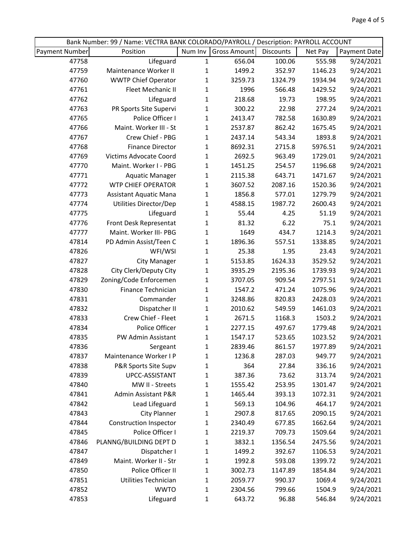|                | Bank Number: 99 / Name: VECTRA BANK COLORADO/PAYROLL / Description: PAYROLL ACCOUNT |              |              |           |         |              |
|----------------|-------------------------------------------------------------------------------------|--------------|--------------|-----------|---------|--------------|
| Payment Number | Position                                                                            | Num Inv      | Gross Amount | Discounts | Net Pay | Payment Date |
| 47758          | Lifeguard                                                                           | $\mathbf 1$  | 656.04       | 100.06    | 555.98  | 9/24/2021    |
| 47759          | Maintenance Worker II                                                               | $\mathbf{1}$ | 1499.2       | 352.97    | 1146.23 | 9/24/2021    |
| 47760          | <b>WWTP Chief Operator</b>                                                          | $\mathbf{1}$ | 3259.73      | 1324.79   | 1934.94 | 9/24/2021    |
| 47761          | Fleet Mechanic II                                                                   | $\mathbf{1}$ | 1996         | 566.48    | 1429.52 | 9/24/2021    |
| 47762          | Lifeguard                                                                           | $\mathbf{1}$ | 218.68       | 19.73     | 198.95  | 9/24/2021    |
| 47763          | PR Sports Site Supervi                                                              | $\mathbf{1}$ | 300.22       | 22.98     | 277.24  | 9/24/2021    |
| 47765          | Police Officer I                                                                    | $\mathbf{1}$ | 2413.47      | 782.58    | 1630.89 | 9/24/2021    |
| 47766          | Maint. Worker III - St                                                              | $\mathbf{1}$ | 2537.87      | 862.42    | 1675.45 | 9/24/2021    |
| 47767          | Crew Chief - PBG                                                                    | $\mathbf{1}$ | 2437.14      | 543.34    | 1893.8  | 9/24/2021    |
| 47768          | <b>Finance Director</b>                                                             | $\mathbf{1}$ | 8692.31      | 2715.8    | 5976.51 | 9/24/2021    |
| 47769          | Victims Advocate Coord                                                              | $\mathbf{1}$ | 2692.5       | 963.49    | 1729.01 | 9/24/2021    |
| 47770          | Maint. Worker I - PBG                                                               | $\mathbf{1}$ | 1451.25      | 254.57    | 1196.68 | 9/24/2021    |
| 47771          | <b>Aquatic Manager</b>                                                              | $\mathbf{1}$ | 2115.38      | 643.71    | 1471.67 | 9/24/2021    |
| 47772          | <b>WTP CHIEF OPERATOR</b>                                                           | $\mathbf{1}$ | 3607.52      | 2087.16   | 1520.36 | 9/24/2021    |
| 47773          | <b>Assistant Aquatic Mana</b>                                                       | $\mathbf 1$  | 1856.8       | 577.01    | 1279.79 | 9/24/2021    |
| 47774          | Utilities Director/Dep                                                              | $\mathbf{1}$ | 4588.15      | 1987.72   | 2600.43 | 9/24/2021    |
| 47775          | Lifeguard                                                                           | $\mathbf{1}$ | 55.44        | 4.25      | 51.19   | 9/24/2021    |
| 47776          | Front Desk Representat                                                              | $\mathbf 1$  | 81.32        | 6.22      | 75.1    | 9/24/2021    |
| 47777          | Maint. Worker III- PBG                                                              | 1            | 1649         | 434.7     | 1214.3  | 9/24/2021    |
| 47814          | PD Admin Assist/Teen C                                                              | $\mathbf{1}$ | 1896.36      | 557.51    | 1338.85 | 9/24/2021    |
| 47826          | WFI/WSI                                                                             | $\mathbf{1}$ | 25.38        | 1.95      | 23.43   | 9/24/2021    |
| 47827          | <b>City Manager</b>                                                                 | $\mathbf 1$  | 5153.85      | 1624.33   | 3529.52 | 9/24/2021    |
| 47828          | City Clerk/Deputy City                                                              | $\mathbf{1}$ | 3935.29      | 2195.36   | 1739.93 | 9/24/2021    |
| 47829          | Zoning/Code Enforcemen                                                              | $\mathbf{1}$ | 3707.05      | 909.54    | 2797.51 | 9/24/2021    |
| 47830          | Finance Technician                                                                  | $\mathbf{1}$ | 1547.2       | 471.24    | 1075.96 | 9/24/2021    |
| 47831          | Commander                                                                           | $\mathbf{1}$ | 3248.86      | 820.83    | 2428.03 | 9/24/2021    |
| 47832          | Dispatcher II                                                                       | $\mathbf{1}$ | 2010.62      | 549.59    | 1461.03 | 9/24/2021    |
| 47833          | Crew Chief - Fleet                                                                  | $\mathbf{1}$ | 2671.5       | 1168.3    | 1503.2  | 9/24/2021    |
| 47834          | Police Officer                                                                      | $\mathbf{1}$ | 2277.15      | 497.67    | 1779.48 | 9/24/2021    |
| 47835          | PW Admin Assistant                                                                  | $\mathbf{1}$ | 1547.17      | 523.65    | 1023.52 | 9/24/2021    |
| 47836          | Sergeant                                                                            | 1            | 2839.46      | 861.57    | 1977.89 | 9/24/2021    |
| 47837          | Maintenance Worker I P                                                              | 1            | 1236.8       | 287.03    | 949.77  | 9/24/2021    |
| 47838          | P&R Sports Site Supv                                                                | 1            | 364          | 27.84     | 336.16  | 9/24/2021    |
| 47839          | UPCC-ASSISTANT                                                                      | 1            | 387.36       | 73.62     | 313.74  | 9/24/2021    |
| 47840          | MW II - Streets                                                                     | 1            | 1555.42      | 253.95    | 1301.47 | 9/24/2021    |
| 47841          | Admin Assistant P&R                                                                 | 1            | 1465.44      | 393.13    | 1072.31 | 9/24/2021    |
| 47842          | Lead Lifeguard                                                                      | 1            | 569.13       | 104.96    | 464.17  | 9/24/2021    |
| 47843          | <b>City Planner</b>                                                                 | 1            | 2907.8       | 817.65    | 2090.15 | 9/24/2021    |
| 47844          | <b>Construction Inspector</b>                                                       | $\mathbf{1}$ | 2340.49      | 677.85    | 1662.64 | 9/24/2021    |
| 47845          | Police Officer I                                                                    | 1            | 2219.37      | 709.73    | 1509.64 | 9/24/2021    |
| 47846          | PLANNG/BUILDING DEPT D                                                              | 1            | 3832.1       | 1356.54   | 2475.56 | 9/24/2021    |
| 47847          | Dispatcher I                                                                        | 1            | 1499.2       | 392.67    | 1106.53 | 9/24/2021    |
| 47849          | Maint. Worker II - Str                                                              | 1            | 1992.8       | 593.08    | 1399.72 | 9/24/2021    |
| 47850          | Police Officer II                                                                   | 1            | 3002.73      | 1147.89   | 1854.84 | 9/24/2021    |
| 47851          | Utilities Technician                                                                | $\mathbf{1}$ | 2059.77      | 990.37    | 1069.4  | 9/24/2021    |
| 47852          | <b>WWTO</b>                                                                         | 1            | 2304.56      | 799.66    | 1504.9  | 9/24/2021    |
| 47853          | Lifeguard                                                                           | 1            | 643.72       | 96.88     | 546.84  | 9/24/2021    |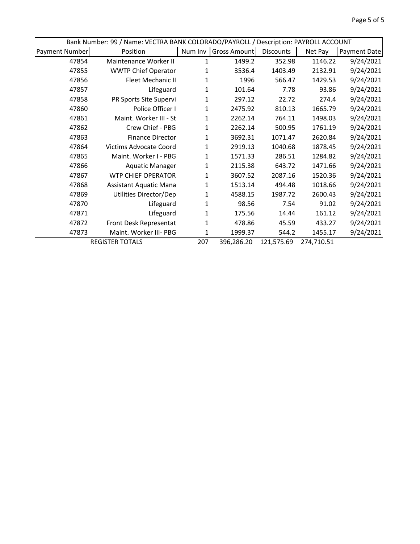|                       | Bank Number: 99 / Name: VECTRA BANK COLORADO/PAYROLL / Description: PAYROLL ACCOUNT |         |              |            |            |              |  |  |  |
|-----------------------|-------------------------------------------------------------------------------------|---------|--------------|------------|------------|--------------|--|--|--|
| <b>Payment Number</b> | Position                                                                            | Num Inv | Gross Amount | Discounts  | Net Pay    | Payment Date |  |  |  |
| 47854                 | Maintenance Worker II                                                               | 1       | 1499.2       | 352.98     | 1146.22    | 9/24/2021    |  |  |  |
| 47855                 | <b>WWTP Chief Operator</b>                                                          | 1       | 3536.4       | 1403.49    | 2132.91    | 9/24/2021    |  |  |  |
| 47856                 | Fleet Mechanic II                                                                   | 1       | 1996         | 566.47     | 1429.53    | 9/24/2021    |  |  |  |
| 47857                 | Lifeguard                                                                           | 1       | 101.64       | 7.78       | 93.86      | 9/24/2021    |  |  |  |
| 47858                 | PR Sports Site Supervi                                                              | 1       | 297.12       | 22.72      | 274.4      | 9/24/2021    |  |  |  |
| 47860                 | Police Officer I                                                                    | 1       | 2475.92      | 810.13     | 1665.79    | 9/24/2021    |  |  |  |
| 47861                 | Maint. Worker III - St                                                              | 1       | 2262.14      | 764.11     | 1498.03    | 9/24/2021    |  |  |  |
| 47862                 | Crew Chief - PBG                                                                    | 1       | 2262.14      | 500.95     | 1761.19    | 9/24/2021    |  |  |  |
| 47863                 | <b>Finance Director</b>                                                             | 1       | 3692.31      | 1071.47    | 2620.84    | 9/24/2021    |  |  |  |
| 47864                 | <b>Victims Advocate Coord</b>                                                       | 1       | 2919.13      | 1040.68    | 1878.45    | 9/24/2021    |  |  |  |
| 47865                 | Maint. Worker I - PBG                                                               | 1       | 1571.33      | 286.51     | 1284.82    | 9/24/2021    |  |  |  |
| 47866                 | <b>Aquatic Manager</b>                                                              | 1       | 2115.38      | 643.72     | 1471.66    | 9/24/2021    |  |  |  |
| 47867                 | <b>WTP CHIEF OPERATOR</b>                                                           | 1       | 3607.52      | 2087.16    | 1520.36    | 9/24/2021    |  |  |  |
| 47868                 | <b>Assistant Aquatic Mana</b>                                                       | 1       | 1513.14      | 494.48     | 1018.66    | 9/24/2021    |  |  |  |
| 47869                 | Utilities Director/Dep                                                              | 1       | 4588.15      | 1987.72    | 2600.43    | 9/24/2021    |  |  |  |
| 47870                 | Lifeguard                                                                           | 1       | 98.56        | 7.54       | 91.02      | 9/24/2021    |  |  |  |
| 47871                 | Lifeguard                                                                           | 1       | 175.56       | 14.44      | 161.12     | 9/24/2021    |  |  |  |
| 47872                 | Front Desk Representat                                                              | 1       | 478.86       | 45.59      | 433.27     | 9/24/2021    |  |  |  |
| 47873                 | Maint. Worker III- PBG                                                              | 1       | 1999.37      | 544.2      | 1455.17    | 9/24/2021    |  |  |  |
|                       | <b>REGISTER TOTALS</b>                                                              | 207     | 396,286.20   | 121,575.69 | 274,710.51 |              |  |  |  |